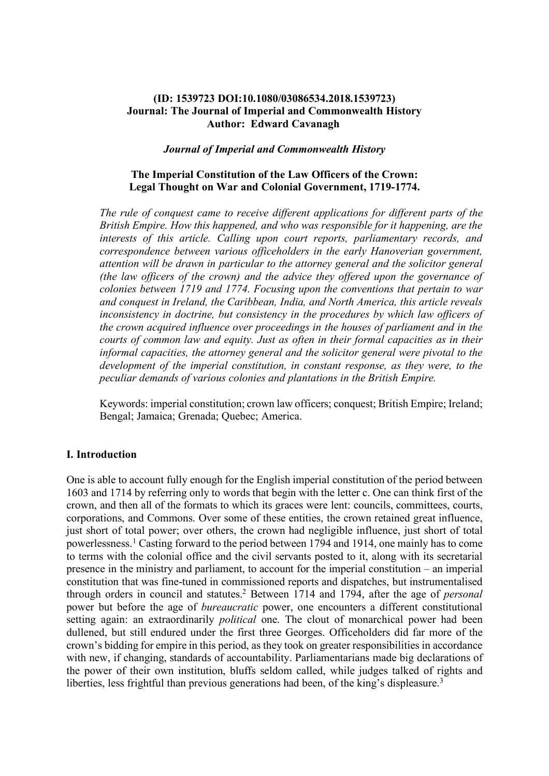### **(ID: 1539723 DOI:10.1080/03086534.2018.1539723) Journal: The Journal of Imperial and Commonwealth History Author: Edward Cavanagh**

#### *Journal of Imperial and Commonwealth History*

### **The Imperial Constitution of the Law Officers of the Crown: Legal Thought on War and Colonial Government, 1719-1774.**

*The rule of conquest came to receive different applications for different parts of the British Empire. How this happened, and who was responsible for it happening, are the interests of this article. Calling upon court reports, parliamentary records, and correspondence between various officeholders in the early Hanoverian government, attention will be drawn in particular to the attorney general and the solicitor general (the law officers of the crown) and the advice they offered upon the governance of colonies between 1719 and 1774. Focusing upon the conventions that pertain to war and conquest in Ireland, the Caribbean, India, and North America, this article reveals inconsistency in doctrine, but consistency in the procedures by which law officers of the crown acquired influence over proceedings in the houses of parliament and in the courts of common law and equity. Just as often in their formal capacities as in their informal capacities, the attorney general and the solicitor general were pivotal to the development of the imperial constitution, in constant response, as they were, to the peculiar demands of various colonies and plantations in the British Empire.* 

Keywords: imperial constitution; crown law officers; conquest; British Empire; Ireland; Bengal; Jamaica; Grenada; Quebec; America.

#### **I. Introduction**

One is able to account fully enough for the English imperial constitution of the period between 1603 and 1714 by referring only to words that begin with the letter c. One can think first of the crown, and then all of the formats to which its graces were lent: councils, committees, courts, corporations, and Commons. Over some of these entities, the crown retained great influence, just short of total power; over others, the crown had negligible influence, just short of total powerlessness.1 Casting forward to the period between 1794 and 1914, one mainly has to come to terms with the colonial office and the civil servants posted to it, along with its secretarial presence in the ministry and parliament, to account for the imperial constitution – an imperial constitution that was fine-tuned in commissioned reports and dispatches, but instrumentalised through orders in council and statutes.2 Between 1714 and 1794, after the age of *personal* power but before the age of *bureaucratic* power, one encounters a different constitutional setting again: an extraordinarily *political* one. The clout of monarchical power had been dullened, but still endured under the first three Georges. Officeholders did far more of the crown's bidding for empire in this period, as they took on greater responsibilities in accordance with new, if changing, standards of accountability. Parliamentarians made big declarations of the power of their own institution, bluffs seldom called, while judges talked of rights and liberties, less frightful than previous generations had been, of the king's displeasure.<sup>3</sup>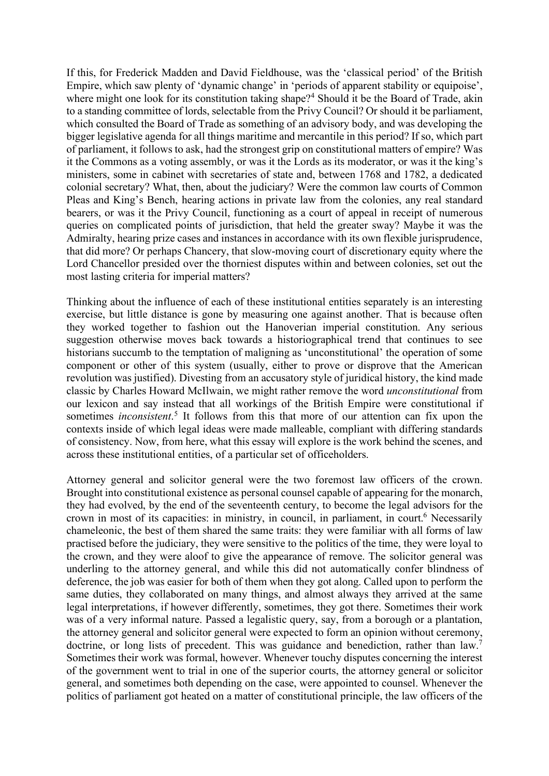If this, for Frederick Madden and David Fieldhouse, was the 'classical period' of the British Empire, which saw plenty of 'dynamic change' in 'periods of apparent stability or equipoise', where might one look for its constitution taking shape?<sup>4</sup> Should it be the Board of Trade, akin to a standing committee of lords, selectable from the Privy Council? Or should it be parliament, which consulted the Board of Trade as something of an advisory body, and was developing the bigger legislative agenda for all things maritime and mercantile in this period? If so, which part of parliament, it follows to ask, had the strongest grip on constitutional matters of empire? Was it the Commons as a voting assembly, or was it the Lords as its moderator, or was it the king's ministers, some in cabinet with secretaries of state and, between 1768 and 1782, a dedicated colonial secretary? What, then, about the judiciary? Were the common law courts of Common Pleas and King's Bench, hearing actions in private law from the colonies, any real standard bearers, or was it the Privy Council, functioning as a court of appeal in receipt of numerous queries on complicated points of jurisdiction, that held the greater sway? Maybe it was the Admiralty, hearing prize cases and instances in accordance with its own flexible jurisprudence, that did more? Or perhaps Chancery, that slow-moving court of discretionary equity where the Lord Chancellor presided over the thorniest disputes within and between colonies, set out the most lasting criteria for imperial matters?

Thinking about the influence of each of these institutional entities separately is an interesting exercise, but little distance is gone by measuring one against another. That is because often they worked together to fashion out the Hanoverian imperial constitution. Any serious suggestion otherwise moves back towards a historiographical trend that continues to see historians succumb to the temptation of maligning as 'unconstitutional' the operation of some component or other of this system (usually, either to prove or disprove that the American revolution was justified). Divesting from an accusatory style of juridical history, the kind made classic by Charles Howard McIlwain, we might rather remove the word *unconstitutional* from our lexicon and say instead that all workings of the British Empire were constitutional if sometimes *inconsistent*. <sup>5</sup> It follows from this that more of our attention can fix upon the contexts inside of which legal ideas were made malleable, compliant with differing standards of consistency. Now, from here, what this essay will explore is the work behind the scenes, and across these institutional entities, of a particular set of officeholders.

Attorney general and solicitor general were the two foremost law officers of the crown. Brought into constitutional existence as personal counsel capable of appearing for the monarch, they had evolved, by the end of the seventeenth century, to become the legal advisors for the crown in most of its capacities: in ministry, in council, in parliament, in court.6 Necessarily chameleonic, the best of them shared the same traits: they were familiar with all forms of law practised before the judiciary, they were sensitive to the politics of the time, they were loyal to the crown, and they were aloof to give the appearance of remove. The solicitor general was underling to the attorney general, and while this did not automatically confer blindness of deference, the job was easier for both of them when they got along. Called upon to perform the same duties, they collaborated on many things, and almost always they arrived at the same legal interpretations, if however differently, sometimes, they got there. Sometimes their work was of a very informal nature. Passed a legalistic query, say, from a borough or a plantation, the attorney general and solicitor general were expected to form an opinion without ceremony, doctrine, or long lists of precedent. This was guidance and benediction, rather than law.<sup>7</sup> Sometimes their work was formal, however. Whenever touchy disputes concerning the interest of the government went to trial in one of the superior courts, the attorney general or solicitor general, and sometimes both depending on the case, were appointed to counsel. Whenever the politics of parliament got heated on a matter of constitutional principle, the law officers of the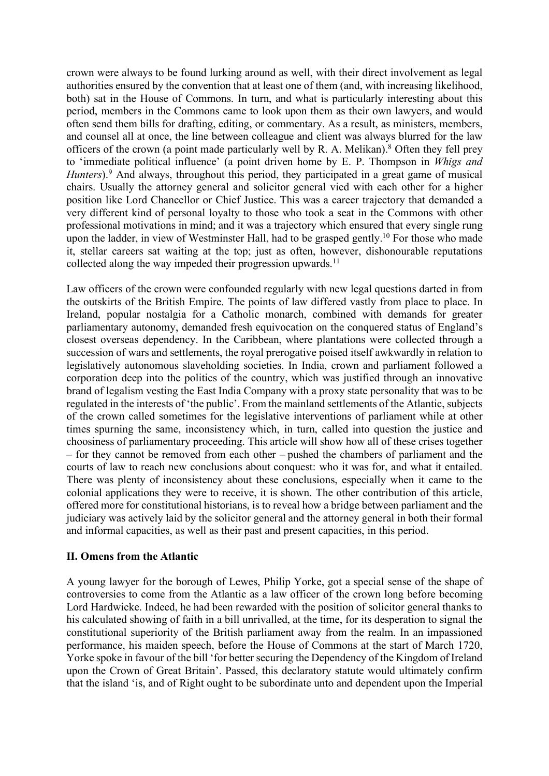crown were always to be found lurking around as well, with their direct involvement as legal authorities ensured by the convention that at least one of them (and, with increasing likelihood, both) sat in the House of Commons. In turn, and what is particularly interesting about this period, members in the Commons came to look upon them as their own lawyers, and would often send them bills for drafting, editing, or commentary. As a result, as ministers, members, and counsel all at once, the line between colleague and client was always blurred for the law officers of the crown (a point made particularly well by R. A. Melikan). <sup>8</sup> Often they fell prey to 'immediate political influence' (a point driven home by E. P. Thompson in *Whigs and Hunters*). <sup>9</sup> And always, throughout this period, they participated in a great game of musical chairs. Usually the attorney general and solicitor general vied with each other for a higher position like Lord Chancellor or Chief Justice. This was a career trajectory that demanded a very different kind of personal loyalty to those who took a seat in the Commons with other professional motivations in mind; and it was a trajectory which ensured that every single rung upon the ladder, in view of Westminster Hall, had to be grasped gently.<sup>10</sup> For those who made it, stellar careers sat waiting at the top; just as often, however, dishonourable reputations collected along the way impeded their progression upwards.<sup>11</sup>

Law officers of the crown were confounded regularly with new legal questions darted in from the outskirts of the British Empire. The points of law differed vastly from place to place. In Ireland, popular nostalgia for a Catholic monarch, combined with demands for greater parliamentary autonomy, demanded fresh equivocation on the conquered status of England's closest overseas dependency. In the Caribbean, where plantations were collected through a succession of wars and settlements, the royal prerogative poised itself awkwardly in relation to legislatively autonomous slaveholding societies. In India, crown and parliament followed a corporation deep into the politics of the country, which was justified through an innovative brand of legalism vesting the East India Company with a proxy state personality that was to be regulated in the interests of 'the public'. From the mainland settlements of the Atlantic, subjects of the crown called sometimes for the legislative interventions of parliament while at other times spurning the same, inconsistency which, in turn, called into question the justice and choosiness of parliamentary proceeding. This article will show how all of these crises together – for they cannot be removed from each other – pushed the chambers of parliament and the courts of law to reach new conclusions about conquest: who it was for, and what it entailed. There was plenty of inconsistency about these conclusions, especially when it came to the colonial applications they were to receive, it is shown. The other contribution of this article, offered more for constitutional historians, is to reveal how a bridge between parliament and the judiciary was actively laid by the solicitor general and the attorney general in both their formal and informal capacities, as well as their past and present capacities, in this period.

### **II. Omens from the Atlantic**

A young lawyer for the borough of Lewes, Philip Yorke, got a special sense of the shape of controversies to come from the Atlantic as a law officer of the crown long before becoming Lord Hardwicke. Indeed, he had been rewarded with the position of solicitor general thanks to his calculated showing of faith in a bill unrivalled, at the time, for its desperation to signal the constitutional superiority of the British parliament away from the realm. In an impassioned performance, his maiden speech, before the House of Commons at the start of March 1720, Yorke spoke in favour of the bill 'for better securing the Dependency of the Kingdom of Ireland upon the Crown of Great Britain'. Passed, this declaratory statute would ultimately confirm that the island 'is, and of Right ought to be subordinate unto and dependent upon the Imperial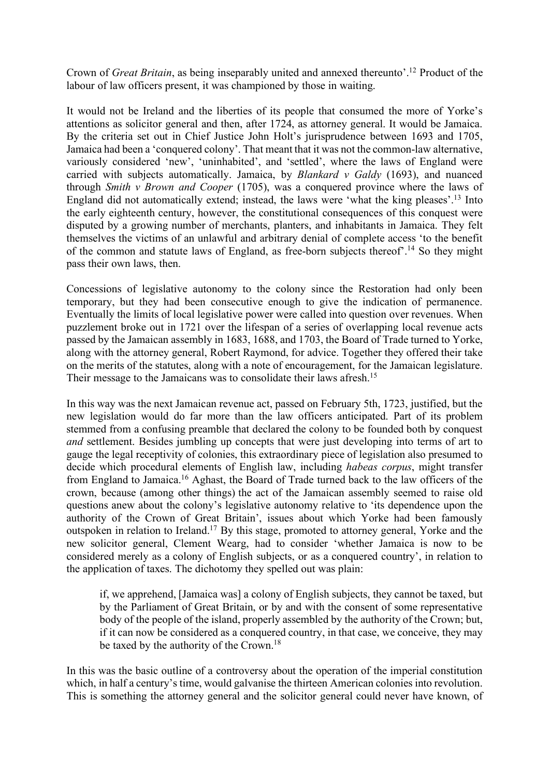Crown of *Great Britain*, as being inseparably united and annexed thereunto'.12 Product of the labour of law officers present, it was championed by those in waiting.

It would not be Ireland and the liberties of its people that consumed the more of Yorke's attentions as solicitor general and then, after 1724, as attorney general. It would be Jamaica. By the criteria set out in Chief Justice John Holt's jurisprudence between 1693 and 1705, Jamaica had been a 'conquered colony'. That meant that it was not the common-law alternative, variously considered 'new', 'uninhabited', and 'settled', where the laws of England were carried with subjects automatically. Jamaica, by *Blankard v Galdy* (1693), and nuanced through *Smith v Brown and Cooper* (1705), was a conquered province where the laws of England did not automatically extend; instead, the laws were 'what the king pleases'.13 Into the early eighteenth century, however, the constitutional consequences of this conquest were disputed by a growing number of merchants, planters, and inhabitants in Jamaica. They felt themselves the victims of an unlawful and arbitrary denial of complete access 'to the benefit of the common and statute laws of England, as free-born subjects thereof<sup> $14$ </sup> So they might pass their own laws, then.

Concessions of legislative autonomy to the colony since the Restoration had only been temporary, but they had been consecutive enough to give the indication of permanence. Eventually the limits of local legislative power were called into question over revenues. When puzzlement broke out in 1721 over the lifespan of a series of overlapping local revenue acts passed by the Jamaican assembly in 1683, 1688, and 1703, the Board of Trade turned to Yorke, along with the attorney general, Robert Raymond, for advice. Together they offered their take on the merits of the statutes, along with a note of encouragement, for the Jamaican legislature. Their message to the Jamaicans was to consolidate their laws afresh.15

In this way was the next Jamaican revenue act, passed on February 5th, 1723, justified, but the new legislation would do far more than the law officers anticipated. Part of its problem stemmed from a confusing preamble that declared the colony to be founded both by conquest *and* settlement. Besides jumbling up concepts that were just developing into terms of art to gauge the legal receptivity of colonies, this extraordinary piece of legislation also presumed to decide which procedural elements of English law, including *habeas corpus*, might transfer from England to Jamaica.16 Aghast, the Board of Trade turned back to the law officers of the crown, because (among other things) the act of the Jamaican assembly seemed to raise old questions anew about the colony's legislative autonomy relative to 'its dependence upon the authority of the Crown of Great Britain', issues about which Yorke had been famously outspoken in relation to Ireland.17 By this stage, promoted to attorney general, Yorke and the new solicitor general, Clement Wearg, had to consider 'whether Jamaica is now to be considered merely as a colony of English subjects, or as a conquered country', in relation to the application of taxes. The dichotomy they spelled out was plain:

if, we apprehend, [Jamaica was] a colony of English subjects, they cannot be taxed, but by the Parliament of Great Britain, or by and with the consent of some representative body of the people of the island, properly assembled by the authority of the Crown; but, if it can now be considered as a conquered country, in that case, we conceive, they may be taxed by the authority of the Crown.<sup>18</sup>

In this was the basic outline of a controversy about the operation of the imperial constitution which, in half a century's time, would galvanise the thirteen American colonies into revolution. This is something the attorney general and the solicitor general could never have known, of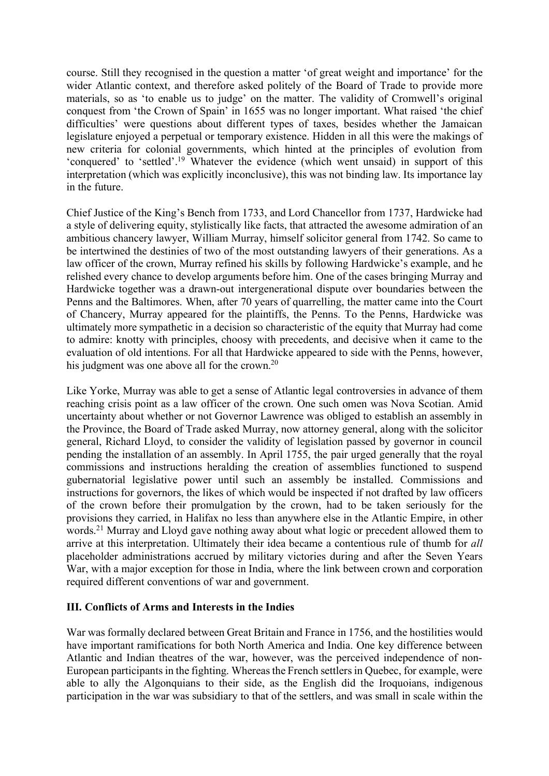course. Still they recognised in the question a matter 'of great weight and importance' for the wider Atlantic context, and therefore asked politely of the Board of Trade to provide more materials, so as 'to enable us to judge' on the matter. The validity of Cromwell's original conquest from 'the Crown of Spain' in 1655 was no longer important. What raised 'the chief difficulties' were questions about different types of taxes, besides whether the Jamaican legislature enjoyed a perpetual or temporary existence. Hidden in all this were the makings of new criteria for colonial governments, which hinted at the principles of evolution from 'conquered' to 'settled'. <sup>19</sup> Whatever the evidence (which went unsaid) in support of this interpretation (which was explicitly inconclusive), this was not binding law. Its importance lay in the future.

Chief Justice of the King's Bench from 1733, and Lord Chancellor from 1737, Hardwicke had a style of delivering equity, stylistically like facts, that attracted the awesome admiration of an ambitious chancery lawyer, William Murray, himself solicitor general from 1742. So came to be intertwined the destinies of two of the most outstanding lawyers of their generations. As a law officer of the crown, Murray refined his skills by following Hardwicke's example, and he relished every chance to develop arguments before him. One of the cases bringing Murray and Hardwicke together was a drawn-out intergenerational dispute over boundaries between the Penns and the Baltimores. When, after 70 years of quarrelling, the matter came into the Court of Chancery, Murray appeared for the plaintiffs, the Penns. To the Penns, Hardwicke was ultimately more sympathetic in a decision so characteristic of the equity that Murray had come to admire: knotty with principles, choosy with precedents, and decisive when it came to the evaluation of old intentions. For all that Hardwicke appeared to side with the Penns, however, his judgment was one above all for the crown.<sup>20</sup>

Like Yorke, Murray was able to get a sense of Atlantic legal controversies in advance of them reaching crisis point as a law officer of the crown. One such omen was Nova Scotian. Amid uncertainty about whether or not Governor Lawrence was obliged to establish an assembly in the Province, the Board of Trade asked Murray, now attorney general, along with the solicitor general, Richard Lloyd, to consider the validity of legislation passed by governor in council pending the installation of an assembly. In April 1755, the pair urged generally that the royal commissions and instructions heralding the creation of assemblies functioned to suspend gubernatorial legislative power until such an assembly be installed. Commissions and instructions for governors, the likes of which would be inspected if not drafted by law officers of the crown before their promulgation by the crown, had to be taken seriously for the provisions they carried, in Halifax no less than anywhere else in the Atlantic Empire, in other words.<sup>21</sup> Murray and Lloyd gave nothing away about what logic or precedent allowed them to arrive at this interpretation. Ultimately their idea became a contentious rule of thumb for *all* placeholder administrations accrued by military victories during and after the Seven Years War, with a major exception for those in India, where the link between crown and corporation required different conventions of war and government.

#### **III. Conflicts of Arms and Interests in the Indies**

War was formally declared between Great Britain and France in 1756, and the hostilities would have important ramifications for both North America and India. One key difference between Atlantic and Indian theatres of the war, however, was the perceived independence of non-European participants in the fighting. Whereas the French settlers in Quebec, for example, were able to ally the Algonquians to their side, as the English did the Iroquoians, indigenous participation in the war was subsidiary to that of the settlers, and was small in scale within the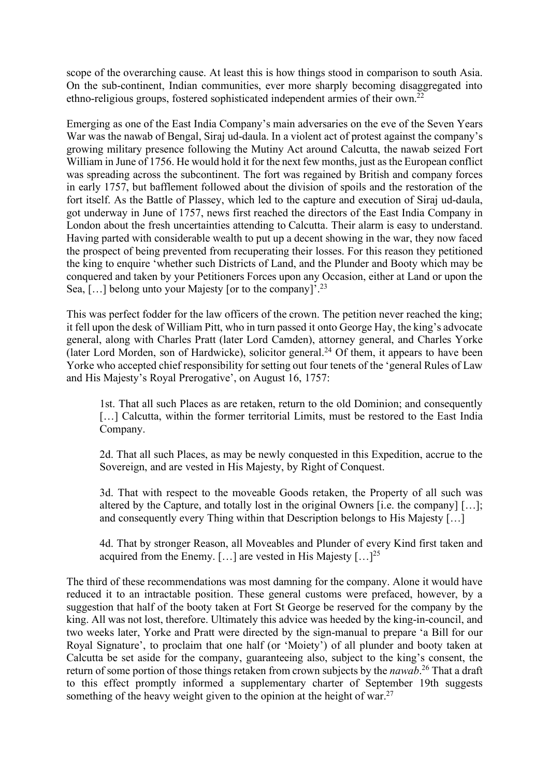scope of the overarching cause. At least this is how things stood in comparison to south Asia. On the sub-continent, Indian communities, ever more sharply becoming disaggregated into ethno-religious groups, fostered sophisticated independent armies of their own.22

Emerging as one of the East India Company's main adversaries on the eve of the Seven Years War was the nawab of Bengal, Siraj ud-daula. In a violent act of protest against the company's growing military presence following the Mutiny Act around Calcutta, the nawab seized Fort William in June of 1756. He would hold it for the next few months, just as the European conflict was spreading across the subcontinent. The fort was regained by British and company forces in early 1757, but bafflement followed about the division of spoils and the restoration of the fort itself. As the Battle of Plassey, which led to the capture and execution of Siraj ud-daula, got underway in June of 1757, news first reached the directors of the East India Company in London about the fresh uncertainties attending to Calcutta. Their alarm is easy to understand. Having parted with considerable wealth to put up a decent showing in the war, they now faced the prospect of being prevented from recuperating their losses. For this reason they petitioned the king to enquire 'whether such Districts of Land, and the Plunder and Booty which may be conquered and taken by your Petitioners Forces upon any Occasion, either at Land or upon the Sea, [...] belong unto your Majesty [or to the company]<sup>'.23</sup>

This was perfect fodder for the law officers of the crown. The petition never reached the king; it fell upon the desk of William Pitt, who in turn passed it onto George Hay, the king's advocate general, along with Charles Pratt (later Lord Camden), attorney general, and Charles Yorke (later Lord Morden, son of Hardwicke), solicitor general.<sup>24</sup> Of them, it appears to have been Yorke who accepted chief responsibility for setting out four tenets of the 'general Rules of Law and His Majesty's Royal Prerogative', on August 16, 1757:

1st. That all such Places as are retaken, return to the old Dominion; and consequently [...] Calcutta, within the former territorial Limits, must be restored to the East India Company.

2d. That all such Places, as may be newly conquested in this Expedition, accrue to the Sovereign, and are vested in His Majesty, by Right of Conquest.

3d. That with respect to the moveable Goods retaken, the Property of all such was altered by the Capture, and totally lost in the original Owners [i.e. the company] […]; and consequently every Thing within that Description belongs to His Majesty […]

4d. That by stronger Reason, all Moveables and Plunder of every Kind first taken and acquired from the Enemy.  $[\dots]$  are vested in His Majesty  $[\dots]^{25}$ 

The third of these recommendations was most damning for the company. Alone it would have reduced it to an intractable position. These general customs were prefaced, however, by a suggestion that half of the booty taken at Fort St George be reserved for the company by the king. All was not lost, therefore. Ultimately this advice was heeded by the king-in-council, and two weeks later, Yorke and Pratt were directed by the sign-manual to prepare 'a Bill for our Royal Signature', to proclaim that one half (or 'Moiety') of all plunder and booty taken at Calcutta be set aside for the company, guaranteeing also, subject to the king's consent, the return of some portion of those things retaken from crown subjects by the *nawab*. <sup>26</sup> That a draft to this effect promptly informed a supplementary charter of September 19th suggests something of the heavy weight given to the opinion at the height of war.<sup>27</sup>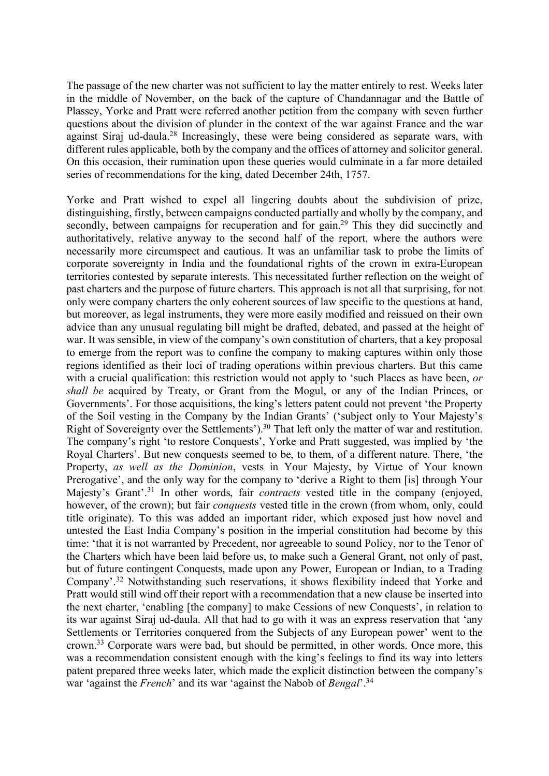The passage of the new charter was not sufficient to lay the matter entirely to rest. Weeks later in the middle of November, on the back of the capture of Chandannagar and the Battle of Plassey, Yorke and Pratt were referred another petition from the company with seven further questions about the division of plunder in the context of the war against France and the war against Siraj ud-daula.28 Increasingly, these were being considered as separate wars, with different rules applicable, both by the company and the offices of attorney and solicitor general. On this occasion, their rumination upon these queries would culminate in a far more detailed series of recommendations for the king, dated December 24th, 1757.

Yorke and Pratt wished to expel all lingering doubts about the subdivision of prize, distinguishing, firstly, between campaigns conducted partially and wholly by the company, and secondly, between campaigns for recuperation and for gain.<sup>29</sup> This they did succinctly and authoritatively, relative anyway to the second half of the report, where the authors were necessarily more circumspect and cautious. It was an unfamiliar task to probe the limits of corporate sovereignty in India and the foundational rights of the crown in extra-European territories contested by separate interests. This necessitated further reflection on the weight of past charters and the purpose of future charters. This approach is not all that surprising, for not only were company charters the only coherent sources of law specific to the questions at hand, but moreover, as legal instruments, they were more easily modified and reissued on their own advice than any unusual regulating bill might be drafted, debated, and passed at the height of war. It was sensible, in view of the company's own constitution of charters, that a key proposal to emerge from the report was to confine the company to making captures within only those regions identified as their loci of trading operations within previous charters. But this came with a crucial qualification: this restriction would not apply to 'such Places as have been, *or shall be* acquired by Treaty, or Grant from the Mogul, or any of the Indian Princes, or Governments'. For those acquisitions, the king's letters patent could not prevent 'the Property of the Soil vesting in the Company by the Indian Grants' ('subject only to Your Majesty's Right of Sovereignty over the Settlements').30 That left only the matter of war and restitution. The company's right 'to restore Conquests', Yorke and Pratt suggested, was implied by 'the Royal Charters'. But new conquests seemed to be, to them, of a different nature. There, 'the Property, *as well as the Dominion*, vests in Your Majesty, by Virtue of Your known Prerogative', and the only way for the company to 'derive a Right to them [is] through Your Majesty's Grant'.<sup>31</sup> In other words, fair *contracts* vested title in the company (enjoyed, however, of the crown); but fair *conquests* vested title in the crown (from whom, only, could title originate). To this was added an important rider, which exposed just how novel and untested the East India Company's position in the imperial constitution had become by this time: 'that it is not warranted by Precedent, nor agreeable to sound Policy, nor to the Tenor of the Charters which have been laid before us, to make such a General Grant, not only of past, but of future contingent Conquests, made upon any Power, European or Indian, to a Trading Company'.32 Notwithstanding such reservations, it shows flexibility indeed that Yorke and Pratt would still wind off their report with a recommendation that a new clause be inserted into the next charter, 'enabling [the company] to make Cessions of new Conquests', in relation to its war against Siraj ud-daula. All that had to go with it was an express reservation that 'any Settlements or Territories conquered from the Subjects of any European power' went to the crown.33 Corporate wars were bad, but should be permitted, in other words. Once more, this was a recommendation consistent enough with the king's feelings to find its way into letters patent prepared three weeks later, which made the explicit distinction between the company's war 'against the *French*' and its war 'against the Nabob of *Bengal*'.34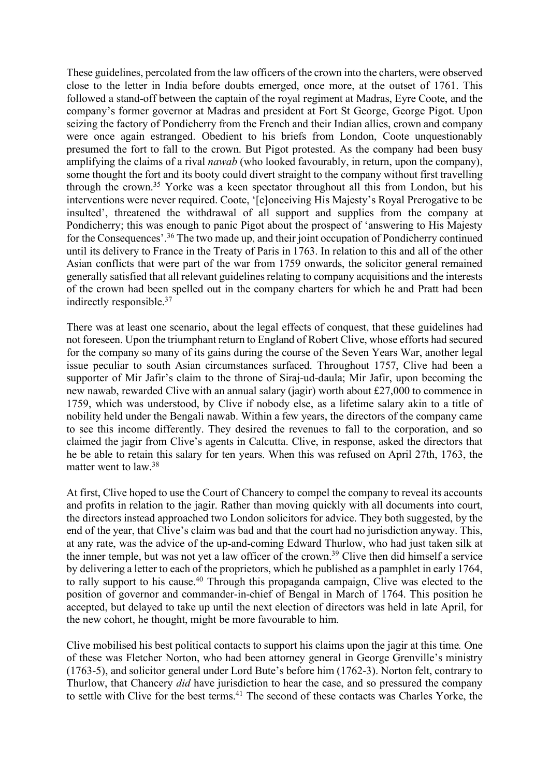These guidelines, percolated from the law officers of the crown into the charters, were observed close to the letter in India before doubts emerged, once more, at the outset of 1761. This followed a stand-off between the captain of the royal regiment at Madras, Eyre Coote, and the company's former governor at Madras and president at Fort St George, George Pigot. Upon seizing the factory of Pondicherry from the French and their Indian allies, crown and company were once again estranged. Obedient to his briefs from London, Coote unquestionably presumed the fort to fall to the crown. But Pigot protested. As the company had been busy amplifying the claims of a rival *nawab* (who looked favourably, in return, upon the company), some thought the fort and its booty could divert straight to the company without first travelling through the crown.35 Yorke was a keen spectator throughout all this from London, but his interventions were never required. Coote, '[c]onceiving His Majesty's Royal Prerogative to be insulted', threatened the withdrawal of all support and supplies from the company at Pondicherry; this was enough to panic Pigot about the prospect of 'answering to His Majesty for the Consequences'.36 The two made up, and their joint occupation of Pondicherry continued until its delivery to France in the Treaty of Paris in 1763. In relation to this and all of the other Asian conflicts that were part of the war from 1759 onwards, the solicitor general remained generally satisfied that all relevant guidelines relating to company acquisitions and the interests of the crown had been spelled out in the company charters for which he and Pratt had been indirectly responsible.37

There was at least one scenario, about the legal effects of conquest, that these guidelines had not foreseen. Upon the triumphant return to England of Robert Clive, whose efforts had secured for the company so many of its gains during the course of the Seven Years War, another legal issue peculiar to south Asian circumstances surfaced. Throughout 1757, Clive had been a supporter of Mir Jafir's claim to the throne of Siraj-ud-daula; Mir Jafir, upon becoming the new nawab, rewarded Clive with an annual salary (jagir) worth about £27,000 to commence in 1759, which was understood, by Clive if nobody else, as a lifetime salary akin to a title of nobility held under the Bengali nawab. Within a few years, the directors of the company came to see this income differently. They desired the revenues to fall to the corporation, and so claimed the jagir from Clive's agents in Calcutta. Clive, in response, asked the directors that he be able to retain this salary for ten years. When this was refused on April 27th, 1763, the matter went to law.38

At first, Clive hoped to use the Court of Chancery to compel the company to reveal its accounts and profits in relation to the jagir. Rather than moving quickly with all documents into court, the directors instead approached two London solicitors for advice. They both suggested, by the end of the year, that Clive's claim was bad and that the court had no jurisdiction anyway. This, at any rate, was the advice of the up-and-coming Edward Thurlow, who had just taken silk at the inner temple, but was not yet a law officer of the crown.39 Clive then did himself a service by delivering a letter to each of the proprietors, which he published as a pamphlet in early 1764, to rally support to his cause.<sup>40</sup> Through this propaganda campaign, Clive was elected to the position of governor and commander-in-chief of Bengal in March of 1764. This position he accepted, but delayed to take up until the next election of directors was held in late April, for the new cohort, he thought, might be more favourable to him.

Clive mobilised his best political contacts to support his claims upon the jagir at this time*.* One of these was Fletcher Norton, who had been attorney general in George Grenville's ministry (1763-5), and solicitor general under Lord Bute's before him (1762-3). Norton felt, contrary to Thurlow, that Chancery *did* have jurisdiction to hear the case, and so pressured the company to settle with Clive for the best terms.<sup>41</sup> The second of these contacts was Charles Yorke, the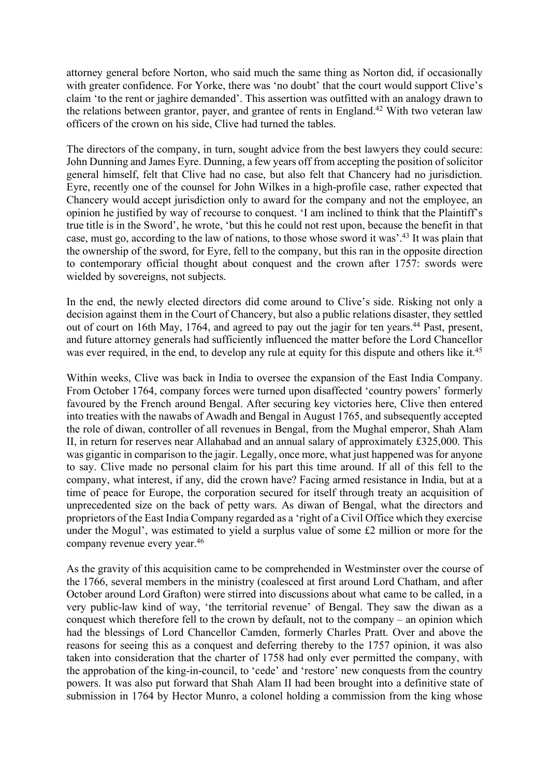attorney general before Norton, who said much the same thing as Norton did, if occasionally with greater confidence. For Yorke, there was 'no doubt' that the court would support Clive's claim 'to the rent or jaghire demanded'. This assertion was outfitted with an analogy drawn to the relations between grantor, payer, and grantee of rents in England.<sup>42</sup> With two veteran law officers of the crown on his side, Clive had turned the tables.

The directors of the company, in turn, sought advice from the best lawyers they could secure: John Dunning and James Eyre. Dunning, a few years off from accepting the position of solicitor general himself, felt that Clive had no case, but also felt that Chancery had no jurisdiction. Eyre, recently one of the counsel for John Wilkes in a high-profile case, rather expected that Chancery would accept jurisdiction only to award for the company and not the employee, an opinion he justified by way of recourse to conquest. 'I am inclined to think that the Plaintiff's true title is in the Sword', he wrote, 'but this he could not rest upon, because the benefit in that case, must go, according to the law of nations, to those whose sword it was'.43 It was plain that the ownership of the sword, for Eyre, fell to the company, but this ran in the opposite direction to contemporary official thought about conquest and the crown after 1757: swords were wielded by sovereigns, not subjects.

In the end, the newly elected directors did come around to Clive's side. Risking not only a decision against them in the Court of Chancery, but also a public relations disaster, they settled out of court on 16th May, 1764, and agreed to pay out the jagir for ten years.<sup>44</sup> Past, present, and future attorney generals had sufficiently influenced the matter before the Lord Chancellor was ever required, in the end, to develop any rule at equity for this dispute and others like it.<sup>45</sup>

Within weeks, Clive was back in India to oversee the expansion of the East India Company. From October 1764, company forces were turned upon disaffected 'country powers' formerly favoured by the French around Bengal. After securing key victories here, Clive then entered into treaties with the nawabs of Awadh and Bengal in August 1765, and subsequently accepted the role of diwan, controller of all revenues in Bengal, from the Mughal emperor, Shah Alam II, in return for reserves near Allahabad and an annual salary of approximately £325,000. This was gigantic in comparison to the jagir. Legally, once more, what just happened was for anyone to say. Clive made no personal claim for his part this time around. If all of this fell to the company, what interest, if any, did the crown have? Facing armed resistance in India, but at a time of peace for Europe, the corporation secured for itself through treaty an acquisition of unprecedented size on the back of petty wars. As diwan of Bengal, what the directors and proprietors of the East India Company regarded as a 'right of a Civil Office which they exercise under the Mogul', was estimated to yield a surplus value of some £2 million or more for the company revenue every year.46

As the gravity of this acquisition came to be comprehended in Westminster over the course of the 1766, several members in the ministry (coalesced at first around Lord Chatham, and after October around Lord Grafton) were stirred into discussions about what came to be called, in a very public-law kind of way, 'the territorial revenue' of Bengal. They saw the diwan as a conquest which therefore fell to the crown by default, not to the company – an opinion which had the blessings of Lord Chancellor Camden, formerly Charles Pratt. Over and above the reasons for seeing this as a conquest and deferring thereby to the 1757 opinion, it was also taken into consideration that the charter of 1758 had only ever permitted the company, with the approbation of the king-in-council, to 'cede' and 'restore' new conquests from the country powers. It was also put forward that Shah Alam II had been brought into a definitive state of submission in 1764 by Hector Munro, a colonel holding a commission from the king whose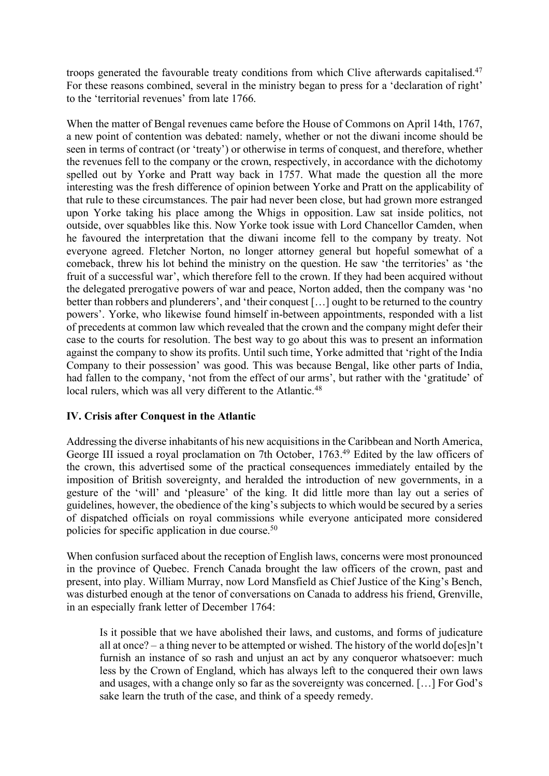troops generated the favourable treaty conditions from which Clive afterwards capitalised.<sup>47</sup> For these reasons combined, several in the ministry began to press for a 'declaration of right' to the 'territorial revenues' from late 1766.

When the matter of Bengal revenues came before the House of Commons on April 14th, 1767, a new point of contention was debated: namely, whether or not the diwani income should be seen in terms of contract (or 'treaty') or otherwise in terms of conquest, and therefore, whether the revenues fell to the company or the crown, respectively, in accordance with the dichotomy spelled out by Yorke and Pratt way back in 1757. What made the question all the more interesting was the fresh difference of opinion between Yorke and Pratt on the applicability of that rule to these circumstances. The pair had never been close, but had grown more estranged upon Yorke taking his place among the Whigs in opposition. Law sat inside politics, not outside, over squabbles like this. Now Yorke took issue with Lord Chancellor Camden, when he favoured the interpretation that the diwani income fell to the company by treaty. Not everyone agreed. Fletcher Norton, no longer attorney general but hopeful somewhat of a comeback, threw his lot behind the ministry on the question. He saw 'the territories' as 'the fruit of a successful war', which therefore fell to the crown. If they had been acquired without the delegated prerogative powers of war and peace, Norton added, then the company was 'no better than robbers and plunderers', and 'their conquest […] ought to be returned to the country powers'. Yorke, who likewise found himself in-between appointments, responded with a list of precedents at common law which revealed that the crown and the company might defer their case to the courts for resolution. The best way to go about this was to present an information against the company to show its profits. Until such time, Yorke admitted that 'right of the India Company to their possession' was good. This was because Bengal, like other parts of India, had fallen to the company, 'not from the effect of our arms', but rather with the 'gratitude' of local rulers, which was all very different to the Atlantic.<sup>48</sup>

### **IV. Crisis after Conquest in the Atlantic**

Addressing the diverse inhabitants of his new acquisitions in the Caribbean and North America, George III issued a royal proclamation on 7th October, 1763.<sup>49</sup> Edited by the law officers of the crown, this advertised some of the practical consequences immediately entailed by the imposition of British sovereignty, and heralded the introduction of new governments, in a gesture of the 'will' and 'pleasure' of the king. It did little more than lay out a series of guidelines, however, the obedience of the king's subjects to which would be secured by a series of dispatched officials on royal commissions while everyone anticipated more considered policies for specific application in due course.50

When confusion surfaced about the reception of English laws, concerns were most pronounced in the province of Quebec. French Canada brought the law officers of the crown, past and present, into play. William Murray, now Lord Mansfield as Chief Justice of the King's Bench, was disturbed enough at the tenor of conversations on Canada to address his friend, Grenville, in an especially frank letter of December 1764:

Is it possible that we have abolished their laws, and customs, and forms of judicature all at once? – a thing never to be attempted or wished. The history of the world do [es]n't furnish an instance of so rash and unjust an act by any conqueror whatsoever: much less by the Crown of England, which has always left to the conquered their own laws and usages, with a change only so far as the sovereignty was concerned. […] For God's sake learn the truth of the case, and think of a speedy remedy.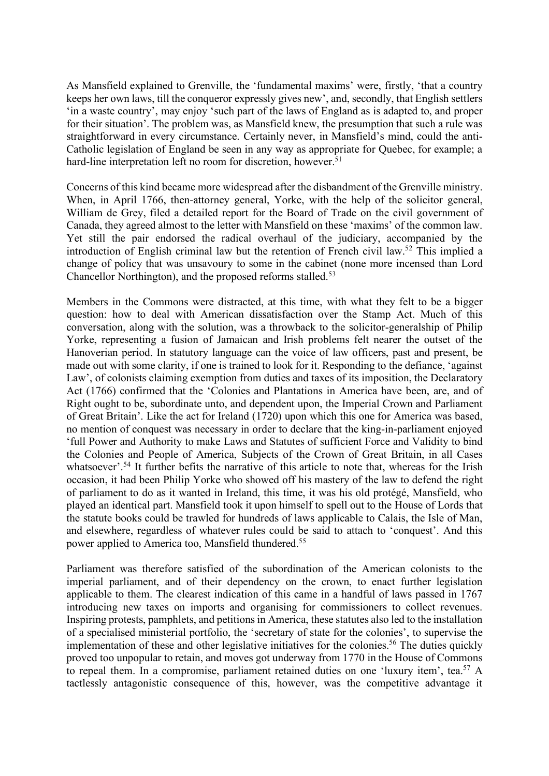As Mansfield explained to Grenville, the 'fundamental maxims' were, firstly, 'that a country keeps her own laws, till the conqueror expressly gives new', and, secondly, that English settlers 'in a waste country', may enjoy 'such part of the laws of England as is adapted to, and proper for their situation'. The problem was, as Mansfield knew, the presumption that such a rule was straightforward in every circumstance. Certainly never, in Mansfield's mind, could the anti-Catholic legislation of England be seen in any way as appropriate for Quebec, for example; a hard-line interpretation left no room for discretion, however. 51

Concerns of this kind became more widespread after the disbandment of the Grenville ministry. When, in April 1766, then-attorney general, Yorke, with the help of the solicitor general, William de Grey, filed a detailed report for the Board of Trade on the civil government of Canada, they agreed almost to the letter with Mansfield on these 'maxims' of the common law. Yet still the pair endorsed the radical overhaul of the judiciary, accompanied by the introduction of English criminal law but the retention of French civil law.52 This implied a change of policy that was unsavoury to some in the cabinet (none more incensed than Lord Chancellor Northington), and the proposed reforms stalled.53

Members in the Commons were distracted, at this time, with what they felt to be a bigger question: how to deal with American dissatisfaction over the Stamp Act. Much of this conversation, along with the solution, was a throwback to the solicitor-generalship of Philip Yorke, representing a fusion of Jamaican and Irish problems felt nearer the outset of the Hanoverian period. In statutory language can the voice of law officers, past and present, be made out with some clarity, if one is trained to look for it. Responding to the defiance, 'against Law', of colonists claiming exemption from duties and taxes of its imposition, the Declaratory Act (1766) confirmed that the 'Colonies and Plantations in America have been, are, and of Right ought to be, subordinate unto, and dependent upon, the Imperial Crown and Parliament of Great Britain'. Like the act for Ireland (1720) upon which this one for America was based, no mention of conquest was necessary in order to declare that the king-in-parliament enjoyed 'full Power and Authority to make Laws and Statutes of sufficient Force and Validity to bind the Colonies and People of America, Subjects of the Crown of Great Britain, in all Cases whatsoever'.<sup>54</sup> It further befits the narrative of this article to note that, whereas for the Irish occasion, it had been Philip Yorke who showed off his mastery of the law to defend the right of parliament to do as it wanted in Ireland, this time, it was his old protégé, Mansfield, who played an identical part. Mansfield took it upon himself to spell out to the House of Lords that the statute books could be trawled for hundreds of laws applicable to Calais, the Isle of Man, and elsewhere, regardless of whatever rules could be said to attach to 'conquest'. And this power applied to America too, Mansfield thundered.55

Parliament was therefore satisfied of the subordination of the American colonists to the imperial parliament, and of their dependency on the crown, to enact further legislation applicable to them. The clearest indication of this came in a handful of laws passed in 1767 introducing new taxes on imports and organising for commissioners to collect revenues. Inspiring protests, pamphlets, and petitions in America, these statutes also led to the installation of a specialised ministerial portfolio, the 'secretary of state for the colonies', to supervise the implementation of these and other legislative initiatives for the colonies.<sup>56</sup> The duties quickly proved too unpopular to retain, and moves got underway from 1770 in the House of Commons to repeal them. In a compromise, parliament retained duties on one 'luxury item', tea.<sup>57</sup> A tactlessly antagonistic consequence of this, however, was the competitive advantage it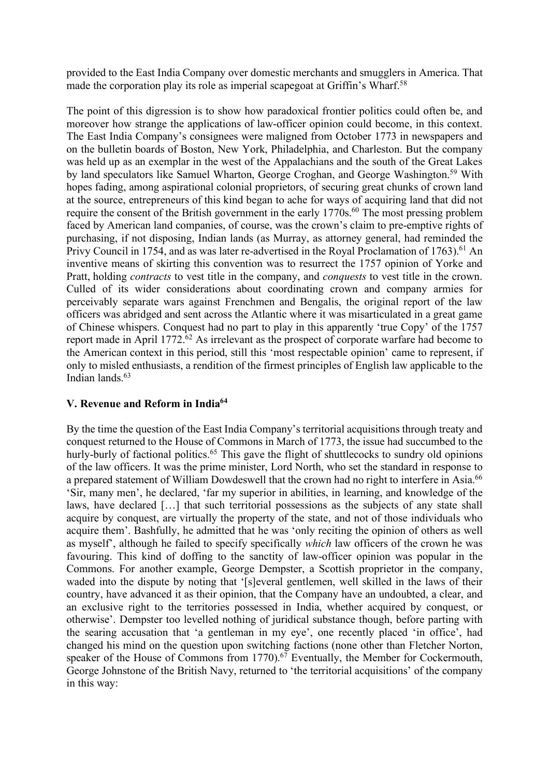provided to the East India Company over domestic merchants and smugglers in America. That made the corporation play its role as imperial scapegoat at Griffin's Wharf.<sup>58</sup>

The point of this digression is to show how paradoxical frontier politics could often be, and moreover how strange the applications of law-officer opinion could become, in this context. The East India Company's consignees were maligned from October 1773 in newspapers and on the bulletin boards of Boston, New York, Philadelphia, and Charleston. But the company was held up as an exemplar in the west of the Appalachians and the south of the Great Lakes by land speculators like Samuel Wharton, George Croghan, and George Washington.<sup>59</sup> With hopes fading, among aspirational colonial proprietors, of securing great chunks of crown land at the source, entrepreneurs of this kind began to ache for ways of acquiring land that did not require the consent of the British government in the early 1770s.<sup>60</sup> The most pressing problem faced by American land companies, of course, was the crown's claim to pre-emptive rights of purchasing, if not disposing, Indian lands (as Murray, as attorney general, had reminded the Privy Council in 1754, and as was later re-advertised in the Royal Proclamation of 1763).<sup>61</sup> An inventive means of skirting this convention was to resurrect the 1757 opinion of Yorke and Pratt, holding *contracts* to vest title in the company, and *conquests* to vest title in the crown. Culled of its wider considerations about coordinating crown and company armies for perceivably separate wars against Frenchmen and Bengalis, the original report of the law officers was abridged and sent across the Atlantic where it was misarticulated in a great game of Chinese whispers. Conquest had no part to play in this apparently 'true Copy' of the 1757 report made in April 1772.<sup>62</sup> As irrelevant as the prospect of corporate warfare had become to the American context in this period, still this 'most respectable opinion' came to represent, if only to misled enthusiasts, a rendition of the firmest principles of English law applicable to the Indian lands<sup>63</sup>

# **V. Revenue and Reform in India64**

By the time the question of the East India Company's territorial acquisitions through treaty and conquest returned to the House of Commons in March of 1773, the issue had succumbed to the hurly-burly of factional politics.<sup>65</sup> This gave the flight of shuttlecocks to sundry old opinions of the law officers. It was the prime minister, Lord North, who set the standard in response to a prepared statement of William Dowdeswell that the crown had no right to interfere in Asia.<sup>66</sup> 'Sir, many men', he declared, 'far my superior in abilities, in learning, and knowledge of the laws, have declared […] that such territorial possessions as the subjects of any state shall acquire by conquest, are virtually the property of the state, and not of those individuals who acquire them'. Bashfully, he admitted that he was 'only reciting the opinion of others as well as myself', although he failed to specify specifically *which* law officers of the crown he was favouring. This kind of doffing to the sanctity of law-officer opinion was popular in the Commons. For another example, George Dempster, a Scottish proprietor in the company, waded into the dispute by noting that '[s]everal gentlemen, well skilled in the laws of their country, have advanced it as their opinion, that the Company have an undoubted, a clear, and an exclusive right to the territories possessed in India, whether acquired by conquest, or otherwise'. Dempster too levelled nothing of juridical substance though, before parting with the searing accusation that 'a gentleman in my eye', one recently placed 'in office', had changed his mind on the question upon switching factions (none other than Fletcher Norton, speaker of the House of Commons from  $1770$ .<sup>67</sup> Eventually, the Member for Cockermouth, George Johnstone of the British Navy, returned to 'the territorial acquisitions' of the company in this way: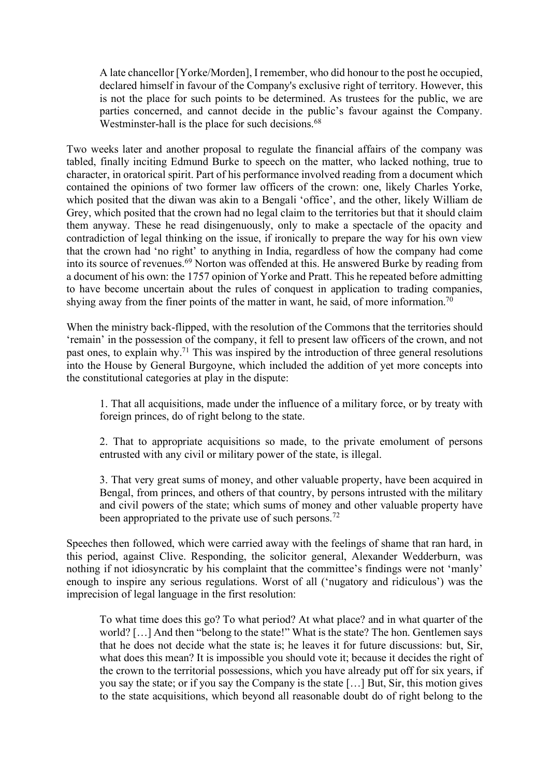A late chancellor [Yorke/Morden], I remember, who did honour to the post he occupied, declared himself in favour of the Company's exclusive right of territory. However, this is not the place for such points to be determined. As trustees for the public, we are parties concerned, and cannot decide in the public's favour against the Company. Westminster-hall is the place for such decisions.<sup>68</sup>

Two weeks later and another proposal to regulate the financial affairs of the company was tabled, finally inciting Edmund Burke to speech on the matter, who lacked nothing, true to character, in oratorical spirit. Part of his performance involved reading from a document which contained the opinions of two former law officers of the crown: one, likely Charles Yorke, which posited that the diwan was akin to a Bengali 'office', and the other, likely William de Grey, which posited that the crown had no legal claim to the territories but that it should claim them anyway. These he read disingenuously, only to make a spectacle of the opacity and contradiction of legal thinking on the issue, if ironically to prepare the way for his own view that the crown had 'no right' to anything in India, regardless of how the company had come into its source of revenues.69 Norton was offended at this. He answered Burke by reading from a document of his own: the 1757 opinion of Yorke and Pratt. This he repeated before admitting to have become uncertain about the rules of conquest in application to trading companies, shying away from the finer points of the matter in want, he said, of more information.<sup>70</sup>

When the ministry back-flipped, with the resolution of the Commons that the territories should 'remain' in the possession of the company, it fell to present law officers of the crown, and not past ones, to explain why.<sup>71</sup> This was inspired by the introduction of three general resolutions into the House by General Burgoyne, which included the addition of yet more concepts into the constitutional categories at play in the dispute:

1. That all acquisitions, made under the influence of a military force, or by treaty with foreign princes, do of right belong to the state.

2. That to appropriate acquisitions so made, to the private emolument of persons entrusted with any civil or military power of the state, is illegal.

3. That very great sums of money, and other valuable property, have been acquired in Bengal, from princes, and others of that country, by persons intrusted with the military and civil powers of the state; which sums of money and other valuable property have been appropriated to the private use of such persons.<sup>72</sup>

Speeches then followed, which were carried away with the feelings of shame that ran hard, in this period, against Clive. Responding, the solicitor general, Alexander Wedderburn, was nothing if not idiosyncratic by his complaint that the committee's findings were not 'manly' enough to inspire any serious regulations. Worst of all ('nugatory and ridiculous') was the imprecision of legal language in the first resolution:

To what time does this go? To what period? At what place? and in what quarter of the world? […] And then "belong to the state!" What is the state? The hon. Gentlemen says that he does not decide what the state is; he leaves it for future discussions: but, Sir, what does this mean? It is impossible you should vote it; because it decides the right of the crown to the territorial possessions, which you have already put off for six years, if you say the state; or if you say the Company is the state […] But, Sir, this motion gives to the state acquisitions, which beyond all reasonable doubt do of right belong to the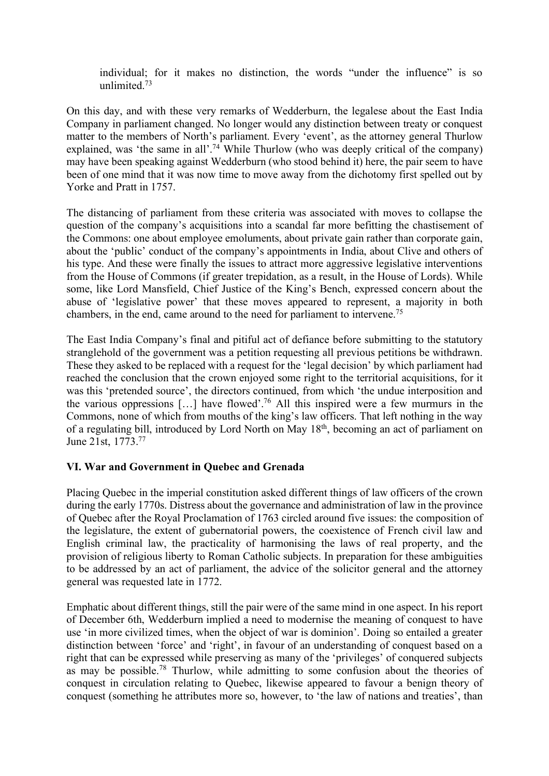individual; for it makes no distinction, the words "under the influence" is so unlimited.73

On this day, and with these very remarks of Wedderburn, the legalese about the East India Company in parliament changed. No longer would any distinction between treaty or conquest matter to the members of North's parliament. Every 'event', as the attorney general Thurlow explained, was 'the same in all'.<sup>74</sup> While Thurlow (who was deeply critical of the company) may have been speaking against Wedderburn (who stood behind it) here, the pair seem to have been of one mind that it was now time to move away from the dichotomy first spelled out by Yorke and Pratt in 1757.

The distancing of parliament from these criteria was associated with moves to collapse the question of the company's acquisitions into a scandal far more befitting the chastisement of the Commons: one about employee emoluments, about private gain rather than corporate gain, about the 'public' conduct of the company's appointments in India, about Clive and others of his type. And these were finally the issues to attract more aggressive legislative interventions from the House of Commons (if greater trepidation, as a result, in the House of Lords). While some, like Lord Mansfield, Chief Justice of the King's Bench, expressed concern about the abuse of 'legislative power' that these moves appeared to represent, a majority in both chambers, in the end, came around to the need for parliament to intervene.75

The East India Company's final and pitiful act of defiance before submitting to the statutory stranglehold of the government was a petition requesting all previous petitions be withdrawn. These they asked to be replaced with a request for the 'legal decision' by which parliament had reached the conclusion that the crown enjoyed some right to the territorial acquisitions, for it was this 'pretended source', the directors continued, from which 'the undue interposition and the various oppressions […] have flowed'. <sup>76</sup> All this inspired were a few murmurs in the Commons, none of which from mouths of the king's law officers. That left nothing in the way of a regulating bill, introduced by Lord North on May 18th, becoming an act of parliament on June 21st, 1773.77

### **VI. War and Government in Quebec and Grenada**

Placing Quebec in the imperial constitution asked different things of law officers of the crown during the early 1770s. Distress about the governance and administration of law in the province of Quebec after the Royal Proclamation of 1763 circled around five issues: the composition of the legislature, the extent of gubernatorial powers, the coexistence of French civil law and English criminal law, the practicality of harmonising the laws of real property, and the provision of religious liberty to Roman Catholic subjects. In preparation for these ambiguities to be addressed by an act of parliament, the advice of the solicitor general and the attorney general was requested late in 1772.

Emphatic about different things, still the pair were of the same mind in one aspect. In his report of December 6th, Wedderburn implied a need to modernise the meaning of conquest to have use 'in more civilized times, when the object of war is dominion'. Doing so entailed a greater distinction between 'force' and 'right', in favour of an understanding of conquest based on a right that can be expressed while preserving as many of the 'privileges' of conquered subjects as may be possible.<sup>78</sup> Thurlow, while admitting to some confusion about the theories of conquest in circulation relating to Quebec, likewise appeared to favour a benign theory of conquest (something he attributes more so, however, to 'the law of nations and treaties', than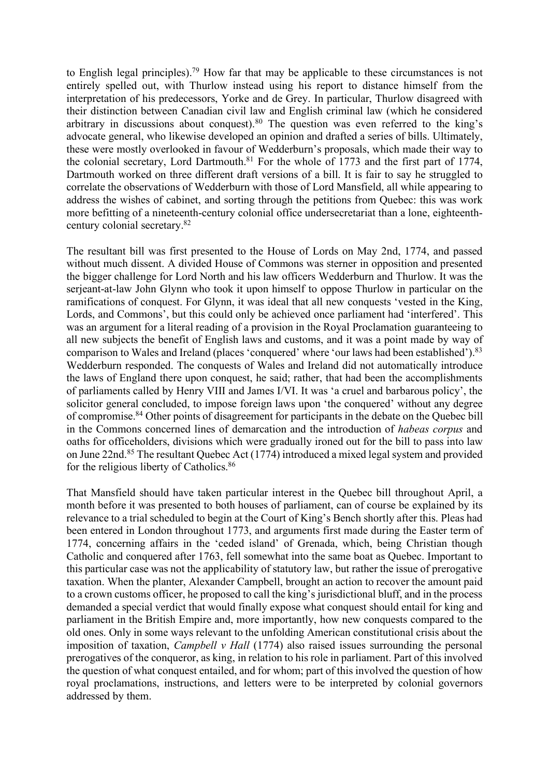to English legal principles).79 How far that may be applicable to these circumstances is not entirely spelled out, with Thurlow instead using his report to distance himself from the interpretation of his predecessors, Yorke and de Grey. In particular, Thurlow disagreed with their distinction between Canadian civil law and English criminal law (which he considered arbitrary in discussions about conquest).80 The question was even referred to the king's advocate general, who likewise developed an opinion and drafted a series of bills. Ultimately, these were mostly overlooked in favour of Wedderburn's proposals, which made their way to the colonial secretary, Lord Dartmouth.<sup>81</sup> For the whole of 1773 and the first part of 1774, Dartmouth worked on three different draft versions of a bill. It is fair to say he struggled to correlate the observations of Wedderburn with those of Lord Mansfield, all while appearing to address the wishes of cabinet, and sorting through the petitions from Quebec: this was work more befitting of a nineteenth-century colonial office undersecretariat than a lone, eighteenthcentury colonial secretary.82

The resultant bill was first presented to the House of Lords on May 2nd, 1774, and passed without much dissent. A divided House of Commons was sterner in opposition and presented the bigger challenge for Lord North and his law officers Wedderburn and Thurlow. It was the serieant-at-law John Glynn who took it upon himself to oppose Thurlow in particular on the ramifications of conquest. For Glynn, it was ideal that all new conquests 'vested in the King, Lords, and Commons', but this could only be achieved once parliament had 'interfered'. This was an argument for a literal reading of a provision in the Royal Proclamation guaranteeing to all new subjects the benefit of English laws and customs, and it was a point made by way of comparison to Wales and Ireland (places 'conquered' where 'our laws had been established').<sup>83</sup> Wedderburn responded. The conquests of Wales and Ireland did not automatically introduce the laws of England there upon conquest, he said; rather, that had been the accomplishments of parliaments called by Henry VIII and James I/VI. It was 'a cruel and barbarous policy', the solicitor general concluded, to impose foreign laws upon 'the conquered' without any degree of compromise.84 Other points of disagreement for participants in the debate on the Quebec bill in the Commons concerned lines of demarcation and the introduction of *habeas corpus* and oaths for officeholders, divisions which were gradually ironed out for the bill to pass into law on June 22nd.85 The resultant Quebec Act (1774) introduced a mixed legal system and provided for the religious liberty of Catholics.<sup>86</sup>

That Mansfield should have taken particular interest in the Quebec bill throughout April, a month before it was presented to both houses of parliament, can of course be explained by its relevance to a trial scheduled to begin at the Court of King's Bench shortly after this. Pleas had been entered in London throughout 1773, and arguments first made during the Easter term of 1774, concerning affairs in the 'ceded island' of Grenada, which, being Christian though Catholic and conquered after 1763, fell somewhat into the same boat as Quebec. Important to this particular case was not the applicability of statutory law, but rather the issue of prerogative taxation. When the planter, Alexander Campbell, brought an action to recover the amount paid to a crown customs officer, he proposed to call the king's jurisdictional bluff, and in the process demanded a special verdict that would finally expose what conquest should entail for king and parliament in the British Empire and, more importantly, how new conquests compared to the old ones. Only in some ways relevant to the unfolding American constitutional crisis about the imposition of taxation, *Campbell v Hall* (1774) also raised issues surrounding the personal prerogatives of the conqueror, as king, in relation to his role in parliament. Part of this involved the question of what conquest entailed, and for whom; part of this involved the question of how royal proclamations, instructions, and letters were to be interpreted by colonial governors addressed by them.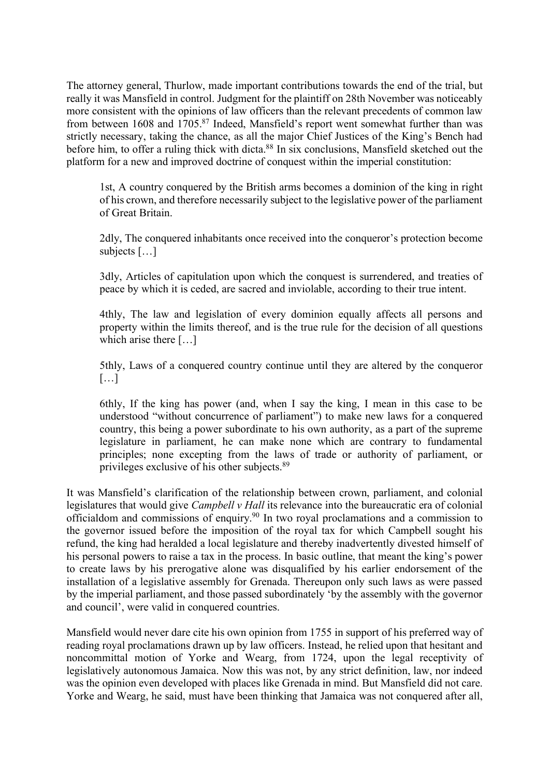The attorney general, Thurlow, made important contributions towards the end of the trial, but really it was Mansfield in control. Judgment for the plaintiff on 28th November was noticeably more consistent with the opinions of law officers than the relevant precedents of common law from between 1608 and 1705.87 Indeed, Mansfield's report went somewhat further than was strictly necessary, taking the chance, as all the major Chief Justices of the King's Bench had before him, to offer a ruling thick with dicta.<sup>88</sup> In six conclusions, Mansfield sketched out the platform for a new and improved doctrine of conquest within the imperial constitution:

1st, A country conquered by the British arms becomes a dominion of the king in right of his crown, and therefore necessarily subject to the legislative power of the parliament of Great Britain.

2dly, The conquered inhabitants once received into the conqueror's protection become subjects […]

3dly, Articles of capitulation upon which the conquest is surrendered, and treaties of peace by which it is ceded, are sacred and inviolable, according to their true intent.

4thly, The law and legislation of every dominion equally affects all persons and property within the limits thereof, and is the true rule for the decision of all questions which arise there […]

5thly, Laws of a conquered country continue until they are altered by the conqueror […]

6thly, If the king has power (and, when I say the king, I mean in this case to be understood "without concurrence of parliament") to make new laws for a conquered country, this being a power subordinate to his own authority, as a part of the supreme legislature in parliament, he can make none which are contrary to fundamental principles; none excepting from the laws of trade or authority of parliament, or privileges exclusive of his other subjects.89

It was Mansfield's clarification of the relationship between crown, parliament, and colonial legislatures that would give *Campbell v Hall* its relevance into the bureaucratic era of colonial officialdom and commissions of enquiry.90 In two royal proclamations and a commission to the governor issued before the imposition of the royal tax for which Campbell sought his refund, the king had heralded a local legislature and thereby inadvertently divested himself of his personal powers to raise a tax in the process. In basic outline, that meant the king's power to create laws by his prerogative alone was disqualified by his earlier endorsement of the installation of a legislative assembly for Grenada. Thereupon only such laws as were passed by the imperial parliament, and those passed subordinately 'by the assembly with the governor and council', were valid in conquered countries.

Mansfield would never dare cite his own opinion from 1755 in support of his preferred way of reading royal proclamations drawn up by law officers. Instead, he relied upon that hesitant and noncommittal motion of Yorke and Wearg, from 1724, upon the legal receptivity of legislatively autonomous Jamaica. Now this was not, by any strict definition, law, nor indeed was the opinion even developed with places like Grenada in mind. But Mansfield did not care. Yorke and Wearg, he said, must have been thinking that Jamaica was not conquered after all,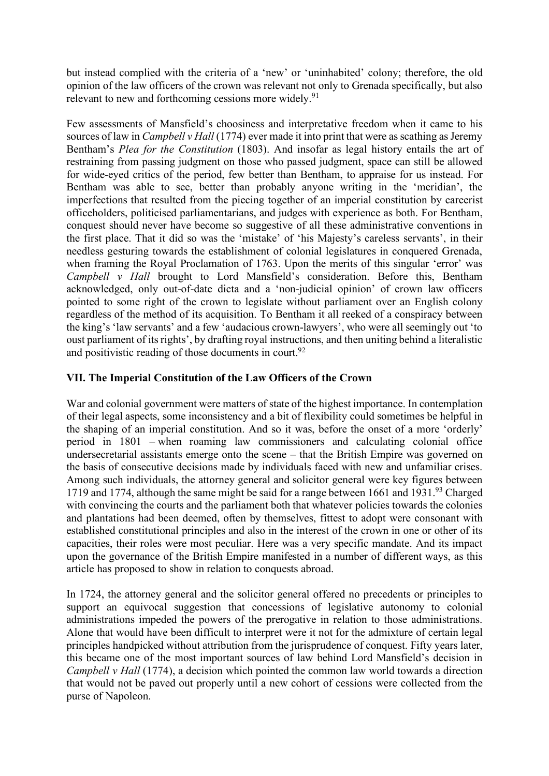but instead complied with the criteria of a 'new' or 'uninhabited' colony; therefore, the old opinion of the law officers of the crown was relevant not only to Grenada specifically, but also relevant to new and forthcoming cessions more widely.<sup>91</sup>

Few assessments of Mansfield's choosiness and interpretative freedom when it came to his sources of law in *Campbell v Hall* (1774) ever made it into print that were as scathing as Jeremy Bentham's *Plea for the Constitution* (1803). And insofar as legal history entails the art of restraining from passing judgment on those who passed judgment, space can still be allowed for wide-eyed critics of the period, few better than Bentham, to appraise for us instead. For Bentham was able to see, better than probably anyone writing in the 'meridian', the imperfections that resulted from the piecing together of an imperial constitution by careerist officeholders, politicised parliamentarians, and judges with experience as both. For Bentham, conquest should never have become so suggestive of all these administrative conventions in the first place. That it did so was the 'mistake' of 'his Majesty's careless servants', in their needless gesturing towards the establishment of colonial legislatures in conquered Grenada, when framing the Royal Proclamation of 1763. Upon the merits of this singular 'error' was *Campbell v Hall* brought to Lord Mansfield's consideration. Before this, Bentham acknowledged, only out-of-date dicta and a 'non-judicial opinion' of crown law officers pointed to some right of the crown to legislate without parliament over an English colony regardless of the method of its acquisition. To Bentham it all reeked of a conspiracy between the king's 'law servants' and a few 'audacious crown-lawyers', who were all seemingly out 'to oust parliament of its rights', by drafting royal instructions, and then uniting behind a literalistic and positivistic reading of those documents in court.  $92$ 

## **VII. The Imperial Constitution of the Law Officers of the Crown**

War and colonial government were matters of state of the highest importance. In contemplation of their legal aspects, some inconsistency and a bit of flexibility could sometimes be helpful in the shaping of an imperial constitution. And so it was, before the onset of a more 'orderly' period in 1801 – when roaming law commissioners and calculating colonial office undersecretarial assistants emerge onto the scene – that the British Empire was governed on the basis of consecutive decisions made by individuals faced with new and unfamiliar crises. Among such individuals, the attorney general and solicitor general were key figures between 1719 and 1774, although the same might be said for a range between 1661 and 1931.<sup>93</sup> Charged with convincing the courts and the parliament both that whatever policies towards the colonies and plantations had been deemed, often by themselves, fittest to adopt were consonant with established constitutional principles and also in the interest of the crown in one or other of its capacities, their roles were most peculiar. Here was a very specific mandate. And its impact upon the governance of the British Empire manifested in a number of different ways, as this article has proposed to show in relation to conquests abroad.

In 1724, the attorney general and the solicitor general offered no precedents or principles to support an equivocal suggestion that concessions of legislative autonomy to colonial administrations impeded the powers of the prerogative in relation to those administrations. Alone that would have been difficult to interpret were it not for the admixture of certain legal principles handpicked without attribution from the jurisprudence of conquest. Fifty years later, this became one of the most important sources of law behind Lord Mansfield's decision in *Campbell v Hall* (1774), a decision which pointed the common law world towards a direction that would not be paved out properly until a new cohort of cessions were collected from the purse of Napoleon.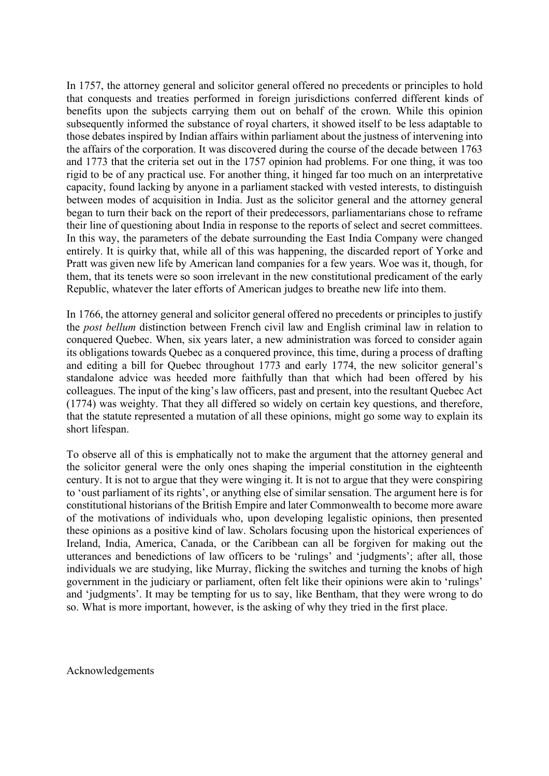In 1757, the attorney general and solicitor general offered no precedents or principles to hold that conquests and treaties performed in foreign jurisdictions conferred different kinds of benefits upon the subjects carrying them out on behalf of the crown. While this opinion subsequently informed the substance of royal charters, it showed itself to be less adaptable to those debates inspired by Indian affairs within parliament about the justness of intervening into the affairs of the corporation. It was discovered during the course of the decade between 1763 and 1773 that the criteria set out in the 1757 opinion had problems. For one thing, it was too rigid to be of any practical use. For another thing, it hinged far too much on an interpretative capacity, found lacking by anyone in a parliament stacked with vested interests, to distinguish between modes of acquisition in India. Just as the solicitor general and the attorney general began to turn their back on the report of their predecessors, parliamentarians chose to reframe their line of questioning about India in response to the reports of select and secret committees. In this way, the parameters of the debate surrounding the East India Company were changed entirely. It is quirky that, while all of this was happening, the discarded report of Yorke and Pratt was given new life by American land companies for a few years. Woe was it, though, for them, that its tenets were so soon irrelevant in the new constitutional predicament of the early Republic, whatever the later efforts of American judges to breathe new life into them.

In 1766, the attorney general and solicitor general offered no precedents or principles to justify the *post bellum* distinction between French civil law and English criminal law in relation to conquered Quebec. When, six years later, a new administration was forced to consider again its obligations towards Quebec as a conquered province, this time, during a process of drafting and editing a bill for Quebec throughout 1773 and early 1774, the new solicitor general's standalone advice was heeded more faithfully than that which had been offered by his colleagues. The input of the king's law officers, past and present, into the resultant Quebec Act (1774) was weighty. That they all differed so widely on certain key questions, and therefore, that the statute represented a mutation of all these opinions, might go some way to explain its short lifespan.

To observe all of this is emphatically not to make the argument that the attorney general and the solicitor general were the only ones shaping the imperial constitution in the eighteenth century. It is not to argue that they were winging it. It is not to argue that they were conspiring to 'oust parliament of its rights', or anything else of similar sensation. The argument here is for constitutional historians of the British Empire and later Commonwealth to become more aware of the motivations of individuals who, upon developing legalistic opinions, then presented these opinions as a positive kind of law. Scholars focusing upon the historical experiences of Ireland, India, America, Canada, or the Caribbean can all be forgiven for making out the utterances and benedictions of law officers to be 'rulings' and 'judgments'; after all, those individuals we are studying, like Murray, flicking the switches and turning the knobs of high government in the judiciary or parliament, often felt like their opinions were akin to 'rulings' and 'judgments'. It may be tempting for us to say, like Bentham, that they were wrong to do so. What is more important, however, is the asking of why they tried in the first place.

Acknowledgements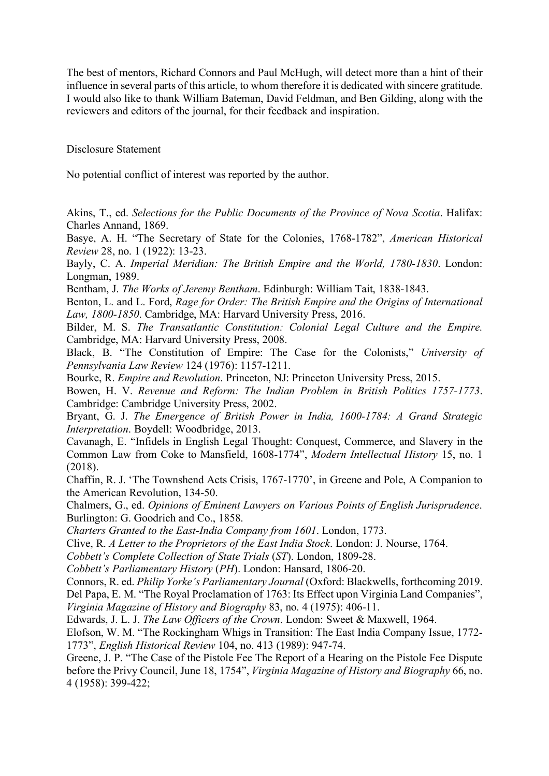The best of mentors, Richard Connors and Paul McHugh, will detect more than a hint of their influence in several parts of this article, to whom therefore it is dedicated with sincere gratitude. I would also like to thank William Bateman, David Feldman, and Ben Gilding, along with the reviewers and editors of the journal, for their feedback and inspiration.

Disclosure Statement

No potential conflict of interest was reported by the author.

Akins, T., ed. *Selections for the Public Documents of the Province of Nova Scotia*. Halifax: Charles Annand, 1869.

Basye, A. H. "The Secretary of State for the Colonies, 1768-1782", *American Historical Review* 28, no. 1 (1922): 13-23.

Bayly, C. A. *Imperial Meridian: The British Empire and the World, 1780-1830*. London: Longman, 1989.

Bentham, J. *The Works of Jeremy Bentham*. Edinburgh: William Tait, 1838-1843.

Benton, L. and L. Ford, *Rage for Order: The British Empire and the Origins of International Law, 1800-1850*. Cambridge, MA: Harvard University Press, 2016.

Bilder, M. S. *The Transatlantic Constitution: Colonial Legal Culture and the Empire.* Cambridge, MA: Harvard University Press, 2008.

Black, B. "The Constitution of Empire: The Case for the Colonists," *University of Pennsylvania Law Review* 124 (1976): 1157-1211.

Bourke, R. *Empire and Revolution*. Princeton, NJ: Princeton University Press, 2015.

Bowen, H. V. *Revenue and Reform: The Indian Problem in British Politics 1757-1773*. Cambridge: Cambridge University Press, 2002.

Bryant, G. J. *The Emergence of British Power in India, 1600-1784: A Grand Strategic Interpretation*. Boydell: Woodbridge, 2013.

Cavanagh, E. "Infidels in English Legal Thought: Conquest, Commerce, and Slavery in the Common Law from Coke to Mansfield, 1608-1774", *Modern Intellectual History* 15, no. 1 (2018).

Chaffin, R. J. 'The Townshend Acts Crisis, 1767-1770', in Greene and Pole, A Companion to the American Revolution, 134-50.

Chalmers, G., ed. *Opinions of Eminent Lawyers on Various Points of English Jurisprudence*. Burlington: G. Goodrich and Co., 1858.

*Charters Granted to the East-India Company from 1601*. London, 1773.

Clive, R. *A Letter to the Proprietors of the East India Stock*. London: J. Nourse, 1764.

*Cobbett's Complete Collection of State Trials* (*ST*). London, 1809-28.

*Cobbett's Parliamentary History* (*PH*). London: Hansard, 1806-20.

Connors, R. ed. *Philip Yorke's Parliamentary Journal* (Oxford: Blackwells, forthcoming 2019. Del Papa, E. M. "The Royal Proclamation of 1763: Its Effect upon Virginia Land Companies",

*Virginia Magazine of History and Biography* 83, no. 4 (1975): 406-11.

Edwards, J. L. J. *The Law Officers of the Crown*. London: Sweet & Maxwell, 1964.

Elofson, W. M. "The Rockingham Whigs in Transition: The East India Company Issue, 1772- 1773", *English Historical Review* 104, no. 413 (1989): 947-74.

Greene, J. P. "The Case of the Pistole Fee The Report of a Hearing on the Pistole Fee Dispute before the Privy Council, June 18, 1754", *Virginia Magazine of History and Biography* 66, no. 4 (1958): 399-422;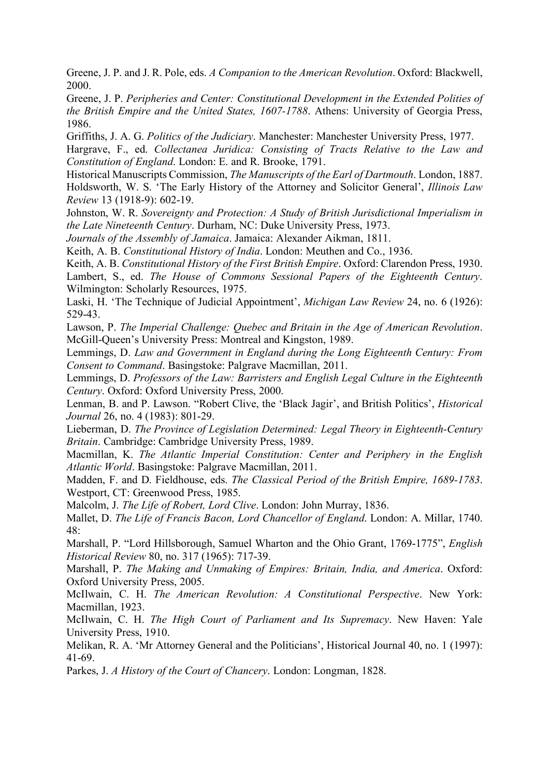Greene, J. P. and J. R. Pole, eds. *A Companion to the American Revolution*. Oxford: Blackwell, 2000.

Greene, J. P. *Peripheries and Center: Constitutional Development in the Extended Polities of the British Empire and the United States, 1607-1788*. Athens: University of Georgia Press, 1986.

Griffiths, J. A. G. *Politics of the Judiciary*. Manchester: Manchester University Press, 1977.

Hargrave, F., ed. *Collectanea Juridica: Consisting of Tracts Relative to the Law and Constitution of England*. London: E. and R. Brooke, 1791.

Historical Manuscripts Commission, *The Manuscripts of the Earl of Dartmouth*. London, 1887. Holdsworth, W. S. 'The Early History of the Attorney and Solicitor General', *Illinois Law Review* 13 (1918-9): 602-19.

Johnston, W. R. *Sovereignty and Protection: A Study of British Jurisdictional Imperialism in the Late Nineteenth Century*. Durham, NC: Duke University Press, 1973.

*Journals of the Assembly of Jamaica*. Jamaica: Alexander Aikman, 1811.

Keith, A. B. *Constitutional History of India*. London: Meuthen and Co., 1936.

Keith, A. B. *Constitutional History of the First British Empire*. Oxford: Clarendon Press, 1930. Lambert, S., ed. *The House of Commons Sessional Papers of the Eighteenth Century*. Wilmington: Scholarly Resources, 1975.

Laski, H. 'The Technique of Judicial Appointment', *Michigan Law Review* 24, no. 6 (1926): 529-43.

Lawson, P. *The Imperial Challenge: Quebec and Britain in the Age of American Revolution*. McGill-Queen's University Press: Montreal and Kingston, 1989.

Lemmings, D. *Law and Government in England during the Long Eighteenth Century: From Consent to Command*. Basingstoke: Palgrave Macmillan, 2011.

Lemmings, D. *Professors of the Law: Barristers and English Legal Culture in the Eighteenth Century*. Oxford: Oxford University Press, 2000.

Lenman, B. and P. Lawson. "Robert Clive, the 'Black Jagir', and British Politics', *Historical Journal* 26, no. 4 (1983): 801-29.

Lieberman, D. *The Province of Legislation Determined: Legal Theory in Eighteenth-Century Britain*. Cambridge: Cambridge University Press, 1989.

Macmillan, K. *The Atlantic Imperial Constitution: Center and Periphery in the English Atlantic World*. Basingstoke: Palgrave Macmillan, 2011.

Madden, F. and D. Fieldhouse, eds. *The Classical Period of the British Empire, 1689-1783*. Westport, CT: Greenwood Press, 1985.

Malcolm, J. *The Life of Robert, Lord Clive*. London: John Murray, 1836.

Mallet, D. *The Life of Francis Bacon, Lord Chancellor of England*. London: A. Millar, 1740.  $48<sup>°</sup>$ 

Marshall, P. "Lord Hillsborough, Samuel Wharton and the Ohio Grant, 1769-1775", *English Historical Review* 80, no. 317 (1965): 717-39.

Marshall, P. *The Making and Unmaking of Empires: Britain, India, and America*. Oxford: Oxford University Press, 2005.

McIlwain, C. H. *The American Revolution: A Constitutional Perspective*. New York: Macmillan, 1923.

McIlwain, C. H. *The High Court of Parliament and Its Supremacy*. New Haven: Yale University Press, 1910.

Melikan, R. A. 'Mr Attorney General and the Politicians', Historical Journal 40, no. 1 (1997): 41-69.

Parkes, J. *A History of the Court of Chancery*. London: Longman, 1828.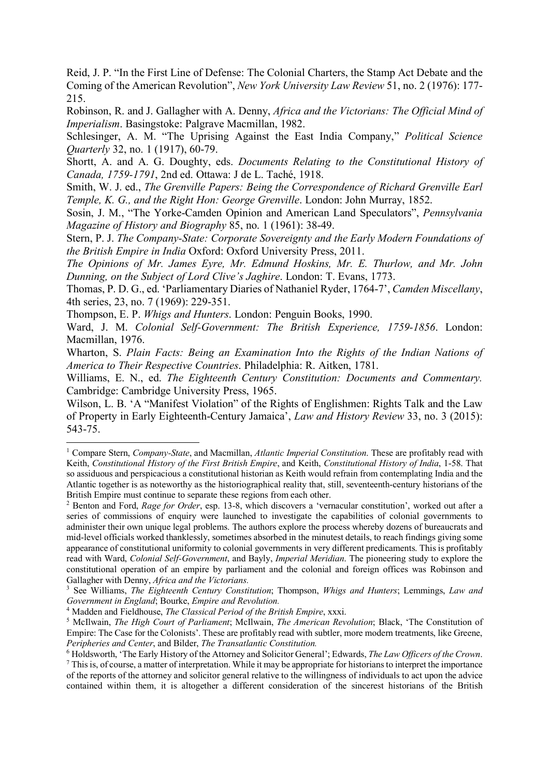Reid, J. P. "In the First Line of Defense: The Colonial Charters, the Stamp Act Debate and the Coming of the American Revolution", *New York University Law Review* 51, no. 2 (1976): 177- 215.

Robinson, R. and J. Gallagher with A. Denny, *Africa and the Victorians: The Official Mind of Imperialism*. Basingstoke: Palgrave Macmillan, 1982.

Schlesinger, A. M. "The Uprising Against the East India Company," *Political Science Quarterly* 32, no. 1 (1917), 60-79.

Shortt, A. and A. G. Doughty, eds. *Documents Relating to the Constitutional History of Canada, 1759-1791*, 2nd ed. Ottawa: J de L. Taché, 1918.

Smith, W. J. ed., *The Grenville Papers: Being the Correspondence of Richard Grenville Earl Temple, K. G., and the Right Hon: George Grenville*. London: John Murray, 1852.

Sosin, J. M., "The Yorke-Camden Opinion and American Land Speculators", *Pennsylvania Magazine of History and Biography* 85, no. 1 (1961): 38-49.

Stern, P. J. *The Company-State: Corporate Sovereignty and the Early Modern Foundations of the British Empire in India* Oxford: Oxford University Press, 2011.

*The Opinions of Mr. James Eyre, Mr. Edmund Hoskins, Mr. E. Thurlow, and Mr. John Dunning, on the Subject of Lord Clive's Jaghire*. London: T. Evans, 1773.

Thomas, P. D. G., ed. 'Parliamentary Diaries of Nathaniel Ryder, 1764-7', *Camden Miscellany*, 4th series, 23, no. 7 (1969): 229-351.

Thompson, E. P. *Whigs and Hunters*. London: Penguin Books, 1990.

Ward, J. M. *Colonial Self-Government: The British Experience, 1759-1856*. London: Macmillan, 1976.

Wharton, S. *Plain Facts: Being an Examination Into the Rights of the Indian Nations of America to Their Respective Countries*. Philadelphia: R. Aitken, 1781.

Williams, E. N., ed. *The Eighteenth Century Constitution: Documents and Commentary.*  Cambridge: Cambridge University Press, 1965.

Wilson, L. B. 'A "Manifest Violation" of the Rights of Englishmen: Rights Talk and the Law of Property in Early Eighteenth-Century Jamaica', *Law and History Review* 33, no. 3 (2015): 543-75.

<sup>1</sup> Compare Stern, *Company-State*, and Macmillan, *Atlantic Imperial Constitution*. These are profitably read with Keith, *Constitutional History of the First British Empire*, and Keith, *Constitutional History of India*, 1-58. That so assiduous and perspicacious a constitutional historian as Keith would refrain from contemplating India and the Atlantic together is as noteworthy as the historiographical reality that, still, seventeenth-century historians of the British Empire must continue to separate these regions from each other.<br><sup>2</sup> Benton and Ford, *Rage for Order*, esp. 13-8, which discovers a 'vernacular constitution', worked out after a

series of commissions of enquiry were launched to investigate the capabilities of colonial governments to administer their own unique legal problems. The authors explore the process whereby dozens of bureaucrats and mid-level officials worked thanklessly, sometimes absorbed in the minutest details, to reach findings giving some appearance of constitutional uniformity to colonial governments in very different predicaments. This is profitably read with Ward, *Colonial Self-Government*, and Bayly, *Imperial Meridian*. The pioneering study to explore the constitutional operation of an empire by parliament and the colonial and foreign offices was Robinson and Gallagher with Denny, *Africa and the Victorians.*

<sup>3</sup> See Williams, *The Eighteenth Century Constitution*; Thompson, *Whigs and Hunters*; Lemmings, *Law and Government in England*; Bourke, *Empire and Revolution.*

<sup>4</sup> Madden and Fieldhouse, *The Classical Period of the British Empire*, xxxi.

<sup>5</sup> McIlwain, *The High Court of Parliament*; McIlwain, *The American Revolution*; Black, 'The Constitution of Empire: The Case for the Colonists'. These are profitably read with subtler, more modern treatments, like Greene, *Peripheries and Center*, and Bilder, *The Transatlantic Constitution.*

<sup>6</sup> Holdsworth, 'The Early History of the Attorney and Solicitor General'; Edwards, *The Law Officers of the Crown*.

 $\frac{7}{1}$  This is, of course, a matter of interpretation. While it may be appropriate for historians to interpret the importance of the reports of the attorney and solicitor general relative to the willingness of individuals to act upon the advice contained within them, it is altogether a different consideration of the sincerest historians of the British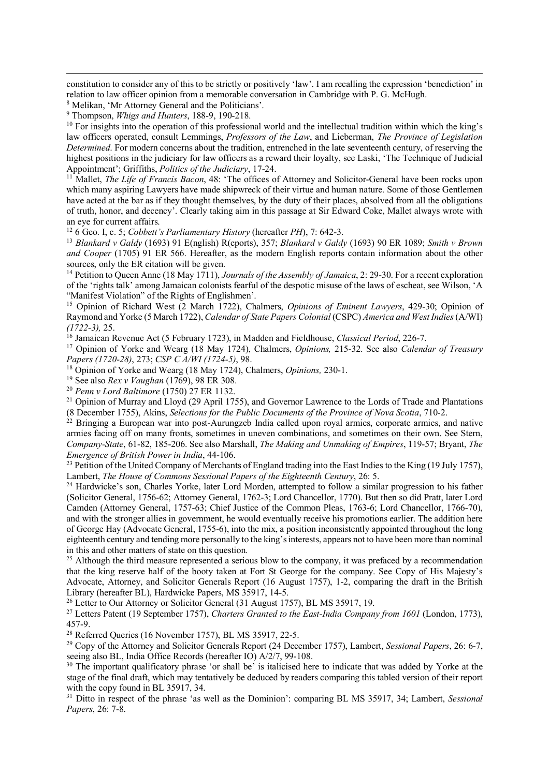constitution to consider any of this to be strictly or positively 'law'. I am recalling the expression 'benediction' in relation to law officer opinion from a memorable conversation in Cambridge with P. G. McHugh. 8 Melikan, 'Mr Attorney General and the Politicians'.

<sup>9</sup> Thompson, *Whigs and Hunters*, 188-9, 190-218.

 $10$  For insights into the operation of this professional world and the intellectual tradition within which the king's law officers operated, consult Lemmings, *Professors of the Law*, and Lieberman, *The Province of Legislation Determined*. For modern concerns about the tradition, entrenched in the late seventeenth century, of reserving the highest positions in the judiciary for law officers as a reward their loyalty, see Laski, 'The Technique of Judicial Appointment'; Griffiths, *Politics of the Judiciary*, 17-24.

<sup>11</sup> Mallet, *The Life of Francis Bacon*, 48: 'The offices of Attorney and Solicitor-General have been rocks upon which many aspiring Lawyers have made shipwreck of their virtue and human nature. Some of those Gentlemen have acted at the bar as if they thought themselves, by the duty of their places, absolved from all the obligations of truth, honor, and decency'. Clearly taking aim in this passage at Sir Edward Coke, Mallet always wrote with an eye for current affairs.

<sup>12</sup> 6 Geo. I, c. 5; *Cobbett's Parliamentary History* (hereafter *PH*), 7: 642-3.

<sup>13</sup> *Blankard v Galdy* (1693) 91 E(nglish) R(eports), 357; *Blankard v Galdy* (1693) 90 ER 1089; *Smith v Brown and Cooper* (1705) 91 ER 566. Hereafter, as the modern English reports contain information about the other sources, only the ER citation will be given.

<sup>14</sup> Petition to Queen Anne (18 May 1711), *Journals of the Assembly of Jamaica*, 2: 29-30. For a recent exploration of the 'rights talk' among Jamaican colonists fearful of the despotic misuse of the laws of escheat, see Wilson, 'A "Manifest Violation" of the Rights of Englishmen'.

<sup>15</sup> Opinion of Richard West (2 March 1722), Chalmers, *Opinions of Eminent Lawyers*, 429-30; Opinion of Raymond and Yorke (5 March 1722), *Calendar of State Papers Colonial* (CSPC) *America and West Indies* (A/WI) *(1722-3),* 25. 16 Jamaican Revenue Act (5 February 1723), in Madden and Fieldhouse, *Classical Period*, 226-7.

<sup>17</sup> Opinion of Yorke and Wearg (18 May 1724), Chalmers, *Opinions,* 215-32. See also *Calendar of Treasury Papers (1720-28)*, 273; *CSP C A/WI (1724-5)*, 98.

<sup>18</sup> Opinion of Yorke and Wearg (18 May 1724), Chalmers, *Opinions,* 230-1.

<sup>19</sup> See also *Rex v Vaughan* (1769), 98 ER 308.

<sup>20</sup> *Penn v Lord Baltimore* (1750) 27 ER 1132.

<sup>21</sup> Opinion of Murray and Lloyd (29 April 1755), and Governor Lawrence to the Lords of Trade and Plantations (8 December 1755), Akins, *Selections for the Public Documents of the Province of Nova Scotia*, 710-2.

<sup>22</sup> Bringing a European war into post-Aurungzeb India called upon royal armies, corporate armies, and native armies facing off on many fronts, sometimes in uneven combinations, and sometimes on their own. See Stern, *Company-State*, 61-82, 185-206. See also Marshall, *The Making and Unmaking of Empires*, 119-57; Bryant, *The Emergence of British Power in India*, 44-106.<br><sup>23</sup> Petition of the United Company of Merchants of England trading into the East Indies to the King (19 July 1757),

Lambert, *The House of Commons Sessional Papers of the Eighteenth Century*, 26: 5.

<sup>24</sup> Hardwicke's son, Charles Yorke, later Lord Morden, attempted to follow a similar progression to his father (Solicitor General, 1756-62; Attorney General, 1762-3; Lord Chancellor, 1770). But then so did Pratt, later Lord Camden (Attorney General, 1757-63; Chief Justice of the Common Pleas, 1763-6; Lord Chancellor, 1766-70), and with the stronger allies in government, he would eventually receive his promotions earlier. The addition here of George Hay (Advocate General, 1755-6), into the mix, a position inconsistently appointed throughout the long eighteenth century and tending more personally to the king's interests, appears not to have been more than nominal in this and other matters of state on this question.

<sup>25</sup> Although the third measure represented a serious blow to the company, it was prefaced by a recommendation that the king reserve half of the booty taken at Fort St George for the company. See Copy of His Majesty's Advocate, Attorney, and Solicitor Generals Report (16 August 1757), 1-2, comparing the draft in the British Library (hereafter BL), Hardwicke Papers, MS 35917, 14-5.

 $^{26}$  Letter to Our Attorney or Solicitor General (31 August 1757), BL MS 35917, 19.

<sup>27</sup> Letters Patent (19 September 1757), *Charters Granted to the East-India Company from 1601* (London, 1773), 457-9.

<sup>28</sup> Referred Queries (16 November 1757), BL MS 35917, 22-5.

<sup>29</sup> Copy of the Attorney and Solicitor Generals Report (24 December 1757), Lambert, *Sessional Papers*, 26: 6-7, seeing also BL, India Office Records (hereafter IO) A/2/7, 99-108.

<sup>30</sup> The important qualificatory phrase 'or shall be' is italicised here to indicate that was added by Yorke at the stage of the final draft, which may tentatively be deduced by readers comparing this tabled version of their report with the copy found in BL 35917, 34.<br><sup>31</sup> Ditto in respect of the phrase 'as well as the Dominion': comparing BL MS 35917, 34; Lambert, *Sessional* 

*Papers*, 26: 7-8.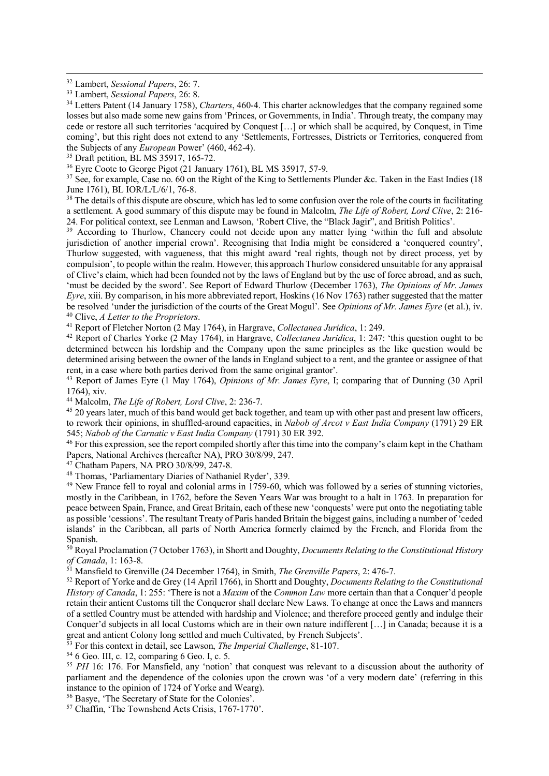<sup>34</sup> Letters Patent (14 January 1758), *Charters*, 460-4. This charter acknowledges that the company regained some losses but also made some new gains from 'Princes, or Governments, in India'. Through treaty, the company may cede or restore all such territories 'acquired by Conquest […] or which shall be acquired, by Conquest, in Time coming', but this right does not extend to any 'Settlements, Fortresses, Districts or Territories, conquered from the Subjects of any *European* Power' (460, 462-4).

<sup>35</sup> Draft petition, BL MS 35917, 165-72.<br><sup>36</sup> Eyre Coote to George Pigot (21 January 1761), BL MS 35917, 57-9.<br><sup>37</sup> See, for example, Case no. 60 on the Right of the King to Settlements Plunder &c. Taken in the East Indi June 1761), BL IOR/L/L/6/1, 76-8.

<sup>38</sup> The details of this dispute are obscure, which has led to some confusion over the role of the courts in facilitating a settlement. A good summary of this dispute may be found in Malcolm, *The Life of Robert, Lord Clive*, 2: 216- 24. For political context, see Lenman and Lawson, 'Robert Clive, the "Black Jagir", and British Politics'.

<sup>39</sup> According to Thurlow, Chancery could not decide upon any matter lying 'within the full and absolute jurisdiction of another imperial crown'. Recognising that India might be considered a 'conquered country', Thurlow suggested, with vagueness, that this might award 'real rights, though not by direct process, yet by compulsion', to people within the realm. However, this approach Thurlow considered unsuitable for any appraisal of Clive's claim, which had been founded not by the laws of England but by the use of force abroad, and as such, 'must be decided by the sword'. See Report of Edward Thurlow (December 1763), *The Opinions of Mr. James Eyre*, xiii. By comparison, in his more abbreviated report, Hoskins (16 Nov 1763) rather suggested that the matter be resolved 'under the jurisdiction of the courts of the Great Mogul'. See *Opinions of Mr. James Eyre* (et al.), iv. <sup>40</sup> Clive, *A Letter to the Proprietors*.

<sup>41</sup> Report of Fletcher Norton (2 May 1764), in Hargrave, *Collectanea Juridica*, 1: 249.

<sup>42</sup> Report of Charles Yorke (2 May 1764), in Hargrave, *Collectanea Juridica*, 1: 247: 'this question ought to be determined between his lordship and the Company upon the same principles as the like question would be determined arising between the owner of the lands in England subject to a rent, and the grantee or assignee of that rent, in a case where both parties derived from the same original grantor'.

<sup>43</sup> Report of James Eyre (1 May 1764), *Opinions of Mr. James Eyre*, I; comparing that of Dunning (30 April 1764), xiv.

<sup>44</sup> Malcolm, *The Life of Robert, Lord Clive*, 2: 236-7.

<sup>45</sup> 20 years later, much of this band would get back together, and team up with other past and present law officers, to rework their opinions, in shuffled-around capacities, in *Nabob of Arcot v East India Company* (1791) 29 ER

<sup>46</sup> For this expression, see the report compiled shortly after this time into the company's claim kept in the Chatham Papers, National Archives (hereafter NA), PRO 30/8/99, 247.<br><sup>47</sup> Chatham Papers, NA PRO 30/8/99, 247-8.<br><sup>48</sup> Thomas. 'Parliamentary Diaries of Nathaniel Ryder'. 339.

 $^{49}$  New France fell to royal and colonial arms in 1759-60, which was followed by a series of stunning victories, mostly in the Caribbean, in 1762, before the Seven Years War was brought to a halt in 1763. In preparation for peace between Spain, France, and Great Britain, each of these new 'conquests' were put onto the negotiating table as possible 'cessions'. The resultant Treaty of Paris handed Britain the biggest gains, including a number of 'ceded islands' in the Caribbean, all parts of North America formerly claimed by the French, and Florida from the Spanish.

<sup>50</sup> Royal Proclamation (7 October 1763), in Shortt and Doughty, *Documents Relating to the Constitutional History of Canada*, 1: 163-8. 51 Mansfield to Grenville (24 December 1764), in Smith, *The Grenville Papers*, 2: 476-7.

<sup>52</sup> Report of Yorke and de Grey (14 April 1766), in Shortt and Doughty, *Documents Relating to the Constitutional History of Canada*, 1: 255: 'There is not a *Maxim* of the *Common Law* more certain than that a Conquer'd people retain their antient Customs till the Conqueror shall declare New Laws. To change at once the Laws and manners of a settled Country must be attended with hardship and Violence; and therefore proceed gently and indulge their Conquer'd subjects in all local Customs which are in their own nature indifferent […] in Canada; because it is a great and antient Colony long settled and much Cultivated, by French Subjects'.<br><sup>53</sup> For this context in detail, see Lawson, *The Imperial Challenge*, 81-107.

 $54$  6 Geo. III, c. 12, comparing 6 Geo. I, c. 5.<br> $55$  PH 16: 176. For Mansfield, any 'notion' that conquest was relevant to a discussion about the authority of parliament and the dependence of the colonies upon the crown was 'of a very modern date' (referring in this instance to the opinion of 1724 of Yorke and Wearg).

<sup>56</sup> Basye, 'The Secretary of State for the Colonies'. 57 Chaffin, 'The Townshend Acts Crisis, 1767-1770'.

<sup>32</sup> Lambert, *Sessional Papers*, 26: 7.

<sup>33</sup> Lambert, *Sessional Papers*, 26: 8.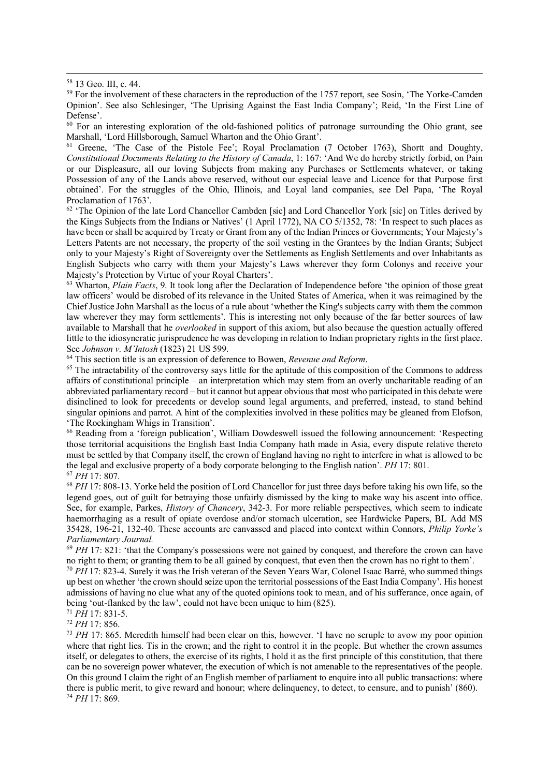Marshall, 'Lord Hillsborough, Samuel Wharton and the Ohio Grant'.

<sup>61</sup> Greene, 'The Case of the Pistole Fee'; Royal Proclamation (7 October 1763), Shortt and Doughty, *Constitutional Documents Relating to the History of Canada*, 1: 167: 'And We do hereby strictly forbid, on Pain or our Displeasure, all our loving Subjects from making any Purchases or Settlements whatever, or taking Possession of any of the Lands above reserved, without our especial leave and Licence for that Purpose first obtained'. For the struggles of the Ohio, Illinois, and Loyal land companies, see Del Papa, 'The Royal Proclamation of 1763'.

<sup>62</sup> 'The Opinion of the late Lord Chancellor Cambden [sic] and Lord Chancellor York [sic] on Titles derived by the Kings Subjects from the Indians or Natives' (1 April 1772), NA CO 5/1352, 78: 'In respect to such places as have been or shall be acquired by Treaty or Grant from any of the Indian Princes or Governments; Your Majesty's Letters Patents are not necessary, the property of the soil vesting in the Grantees by the Indian Grants; Subject only to your Majesty's Right of Sovereignty over the Settlements as English Settlements and over Inhabitants as English Subjects who carry with them your Majesty's Laws wherever they form Colonys and receive your Majesty's Protection by Virtue of your Royal Charters'.

<sup>63</sup> Wharton, *Plain Facts*, 9. It took long after the Declaration of Independence before 'the opinion of those great law officers' would be disrobed of its relevance in the United States of America, when it was reimagined by the Chief Justice John Marshall as the locus of a rule about 'whether the King's subjects carry with them the common law wherever they may form settlements'. This is interesting not only because of the far better sources of law available to Marshall that he *overlooked* in support of this axiom, but also because the question actually offered little to the idiosyncratic jurisprudence he was developing in relation to Indian proprietary rights in the first place. See *Johnson v. M'Intosh* (1823) 21 US 599. <sup>64</sup> This section title is an expression of deference to Bowen, *Revenue and Reform*.

<sup>65</sup> The intractability of the controversy says little for the aptitude of this composition of the Commons to address affairs of constitutional principle – an interpretation which may stem from an overly uncharitable reading of an abbreviated parliamentary record – but it cannot but appear obvious that most who participated in this debate were disinclined to look for precedents or develop sound legal arguments, and preferred, instead, to stand behind singular opinions and parrot. A hint of the complexities involved in these politics may be gleaned from Elofson, 'The Rockingham Whigs in Transition'.

<sup>66</sup> Reading from a 'foreign publication', William Dowdeswell issued the following announcement: 'Respecting those territorial acquisitions the English East India Company hath made in Asia, every dispute relative thereto must be settled by that Company itself, the crown of England having no right to interfere in what is allowed to be the legal and exclusive property of a body corporate belonging to the English nation'. *PH* 17: 801.

<sup>67</sup> *PH* 17: 807.<br><sup>68</sup> *PH* 17: 808-13. Yorke held the position of Lord Chancellor for just three days before taking his own life, so the legend goes, out of guilt for betraying those unfairly dismissed by the king to make way his ascent into office. See, for example, Parkes, *History of Chancery*, 342-3. For more reliable perspectives, which seem to indicate haemorrhaging as a result of opiate overdose and/or stomach ulceration, see Hardwicke Papers, BL Add MS 35428, 196-21, 132-40. These accounts are canvassed and placed into context within Connors, *Philip Yorke's Parliamentary Journal.*

<sup>69</sup> *PH* 17: 821: 'that the Company's possessions were not gained by conquest, and therefore the crown can have no right to them; or granting them to be all gained by conquest, that even then the crown has no right to them'.

<sup>70</sup> *PH* 17: 823-4. Surely it was the Irish veteran of the Seven Years War, Colonel Isaac Barré, who summed things up best on whether 'the crown should seize upon the territorial possessions of the East India Company'. His honest admissions of having no clue what any of the quoted opinions took to mean, and of his sufferance, once again, of being 'out-flanked by the law', could not have been unique to him (825).

<sup>71</sup> *PH* 17: 831-5.

<sup>72</sup> *PH* 17: 856.

<sup>73</sup> *PH* 17: 865. Meredith himself had been clear on this, however. 'I have no scruple to avow my poor opinion where that right lies. Tis in the crown; and the right to control it in the people. But whether the crown assumes itself, or delegates to others, the exercise of its rights, I hold it as the first principle of this constitution, that there can be no sovereign power whatever, the execution of which is not amenable to the representatives of the people. On this ground I claim the right of an English member of parliament to enquire into all public transactions: where there is public merit, to give reward and honour; where delinquency, to detect, to censure, and to punish' (860). 74 *PH* 17: 869.

<sup>58</sup> 13 Geo. III, c. 44.

<sup>&</sup>lt;sup>59</sup> For the involvement of these characters in the reproduction of the 1757 report, see Sosin, 'The Yorke-Camden Opinion'. See also Schlesinger, 'The Uprising Against the East India Company'; Reid, 'In the First Line of Defense'.<br><sup>60</sup> For an interesting exploration of the old-fashioned politics of patronage surrounding the Ohio grant, see